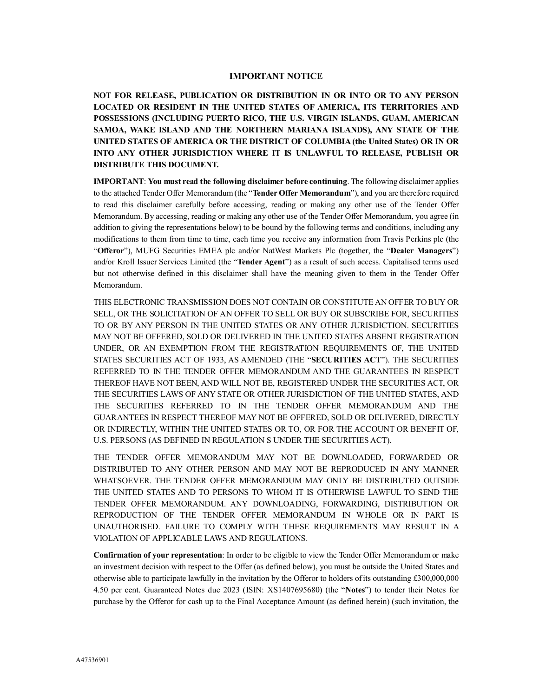#### **IMPORTANT NOTICE**

**NOT FOR RELEASE, PUBLICATION OR DISTRIBUTION IN OR INTO OR TO ANY PERSON LOCATED OR RESIDENT IN THE UNITED STATES OF AMERICA, ITS TERRITORIES AND POSSESSIONS (INCLUDING PUERTO RICO, THE U.S. VIRGIN ISLANDS, GUAM, AMERICAN SAMOA, WAKE ISLAND AND THE NORTHERN MARIANA ISLANDS), ANY STATE OF THE UNITED STATES OF AMERICA OR THE DISTRICT OF COLUMBIA (the United States) OR IN OR INTO ANY OTHER JURISDICTION WHERE IT IS UNLAWFUL TO RELEASE, PUBLISH OR DISTRIBUTE THIS DOCUMENT.**

**IMPORTANT**: **You must read the following disclaimer before continuing**. The following disclaimer applies to the attached Tender Offer Memorandum (the "**Tender Offer Memorandum**"), and you are therefore required to read this disclaimer carefully before accessing, reading or making any other use of the Tender Offer Memorandum. By accessing, reading or making any other use of the Tender Offer Memorandum, you agree (in addition to giving the representations below) to be bound by the following terms and conditions, including any modifications to them from time to time, each time you receive any information from Travis Perkins plc (the "**Offeror**"), MUFG Securities EMEA plc and/or NatWest Markets Plc (together, the "**Dealer Managers**") and/or Kroll Issuer Services Limited (the "**Tender Agent**") as a result of such access. Capitalised terms used but not otherwise defined in this disclaimer shall have the meaning given to them in the Tender Offer Memorandum.

THIS ELECTRONIC TRANSMISSION DOES NOT CONTAIN OR CONSTITUTE AN OFFER TO BUY OR SELL, OR THE SOLICITATION OF AN OFFER TO SELL OR BUY OR SUBSCRIBE FOR, SECURITIES TO OR BY ANY PERSON IN THE UNITED STATES OR ANY OTHER JURISDICTION. SECURITIES MAY NOT BE OFFERED, SOLD OR DELIVERED IN THE UNITED STATES ABSENT REGISTRATION UNDER, OR AN EXEMPTION FROM THE REGISTRATION REQUIREMENTS OF, THE UNITED STATES SECURITIES ACT OF 1933, AS AMENDED (THE "**SECURITIES ACT**"). THE SECURITIES REFERRED TO IN THE TENDER OFFER MEMORANDUM AND THE GUARANTEES IN RESPECT THEREOF HAVE NOT BEEN, AND WILL NOT BE, REGISTERED UNDER THE SECURITIES ACT, OR THE SECURITIES LAWS OF ANY STATE OR OTHER JURISDICTION OF THE UNITED STATES, AND THE SECURITIES REFERRED TO IN THE TENDER OFFER MEMORANDUM AND THE GUARANTEES IN RESPECT THEREOF MAY NOT BE OFFERED, SOLD OR DELIVERED, DIRECTLY OR INDIRECTLY, WITHIN THE UNITED STATES OR TO, OR FOR THE ACCOUNT OR BENEFIT OF, U.S. PERSONS (AS DEFINED IN REGULATION S UNDER THE SECURITIES ACT).

THE TENDER OFFER MEMORANDUM MAY NOT BE DOWNLOADED, FORWARDED OR DISTRIBUTED TO ANY OTHER PERSON AND MAY NOT BE REPRODUCED IN ANY MANNER WHATSOEVER. THE TENDER OFFER MEMORANDUM MAY ONLY BE DISTRIBUTED OUTSIDE THE UNITED STATES AND TO PERSONS TO WHOM IT IS OTHERWISE LAWFUL TO SEND THE TENDER OFFER MEMORANDUM. ANY DOWNLOADING, FORWARDING, DISTRIBUTION OR REPRODUCTION OF THE TENDER OFFER MEMORANDUM IN WHOLE OR IN PART IS UNAUTHORISED. FAILURE TO COMPLY WITH THESE REQUIREMENTS MAY RESULT IN A VIOLATION OF APPLICABLE LAWS AND REGULATIONS.

**Confirmation of your representation**: In order to be eligible to view the Tender Offer Memorandum or make an investment decision with respect to the Offer (as defined below), you must be outside the United States and otherwise able to participate lawfully in the invitation by the Offeror to holders of its outstanding £300,000,000 4.50 per cent. Guaranteed Notes due 2023 (ISIN: XS1407695680) (the "**Notes**") to tender their Notes for purchase by the Offeror for cash up to the Final Acceptance Amount (as defined herein) (such invitation, the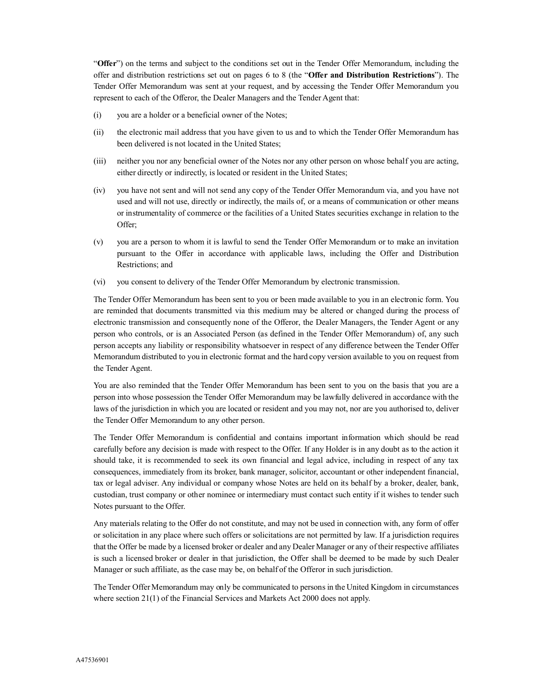"**Offer**") on the terms and subject to the conditions set out in the Tender Offer Memorandum, including the offer and distribution restrictions set out on pages 6 to 8 (the "**Offer and Distribution Restrictions**"). The Tender Offer Memorandum was sent at your request, and by accessing the Tender Offer Memorandum you represent to each of the Offeror, the Dealer Managers and the Tender Agent that:

- (i) you are a holder or a beneficial owner of the Notes;
- (ii) the electronic mail address that you have given to us and to which the Tender Offer Memorandum has been delivered is not located in the United States;
- (iii) neither you nor any beneficial owner of the Notes nor any other person on whose behalf you are acting, either directly or indirectly, is located or resident in the United States;
- (iv) you have not sent and will not send any copy of the Tender Offer Memorandum via, and you have not used and will not use, directly or indirectly, the mails of, or a means of communication or other means or instrumentality of commerce or the facilities of a United States securities exchange in relation to the Offer;
- (v) you are a person to whom it is lawful to send the Tender Offer Memorandum or to make an invitation pursuant to the Offer in accordance with applicable laws, including the Offer and Distribution Restrictions; and
- (vi) you consent to delivery of the Tender Offer Memorandum by electronic transmission.

The Tender Offer Memorandum has been sent to you or been made available to you in an electronic form. You are reminded that documents transmitted via this medium may be altered or changed during the process of electronic transmission and consequently none of the Offeror, the Dealer Managers, the Tender Agent or any person who controls, or is an Associated Person (as defined in the Tender Offer Memorandum) of, any such person accepts any liability or responsibility whatsoever in respect of any difference between the Tender Offer Memorandum distributed to you in electronic format and the hard copy version available to you on request from the Tender Agent.

You are also reminded that the Tender Offer Memorandum has been sent to you on the basis that you are a person into whose possession the Tender Offer Memorandum may be lawfully delivered in accordance with the laws of the jurisdiction in which you are located or resident and you may not, nor are you authorised to, deliver the Tender Offer Memorandum to any other person.

The Tender Offer Memorandum is confidential and contains important information which should be read carefully before any decision is made with respect to the Offer. If any Holder is in any doubt as to the action it should take, it is recommended to seek its own financial and legal advice, including in respect of any tax consequences, immediately from its broker, bank manager, solicitor, accountant or other independent financial, tax or legal adviser. Any individual or company whose Notes are held on its behalf by a broker, dealer, bank, custodian, trust company or other nominee or intermediary must contact such entity if it wishes to tender such Notes pursuant to the Offer.

Any materials relating to the Offer do not constitute, and may not be used in connection with, any form of offer or solicitation in any place where such offers or solicitations are not permitted by law. If a jurisdiction requires that the Offer be made by a licensed broker or dealer and any Dealer Manager or any of their respective affiliates is such a licensed broker or dealer in that jurisdiction, the Offer shall be deemed to be made by such Dealer Manager or such affiliate, as the case may be, on behalf of the Offeror in such jurisdiction.

The Tender Offer Memorandum may only be communicated to persons in the United Kingdom in circumstances where section 21(1) of the Financial Services and Markets Act 2000 does not apply.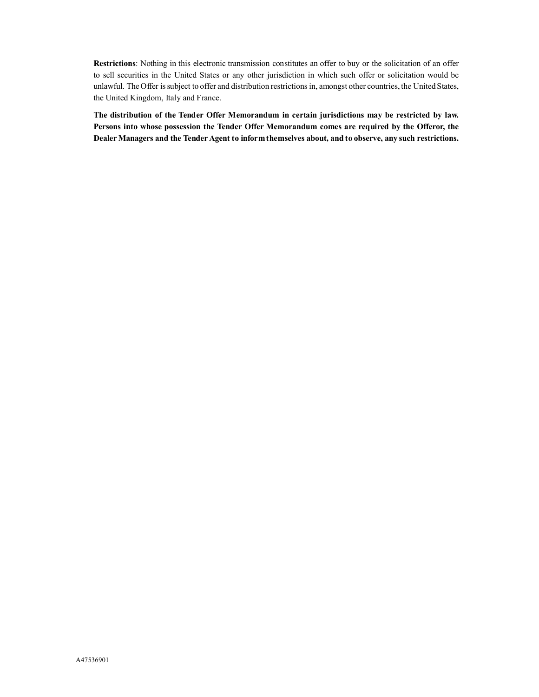**Restrictions**: Nothing in this electronic transmission constitutes an offer to buy or the solicitation of an offer to sell securities in the United States or any other jurisdiction in which such offer or solicitation would be unlawful. The Offer is subject to offer and distribution restrictions in, amongst other countries, the United States, the United Kingdom, Italy and France.

**The distribution of the Tender Offer Memorandum in certain jurisdictions may be restricted by law. Persons into whose possession the Tender Offer Memorandum comes are required by the Offeror, the Dealer Managers and the Tender Agent to inform themselves about, and to observe, any such restrictions.**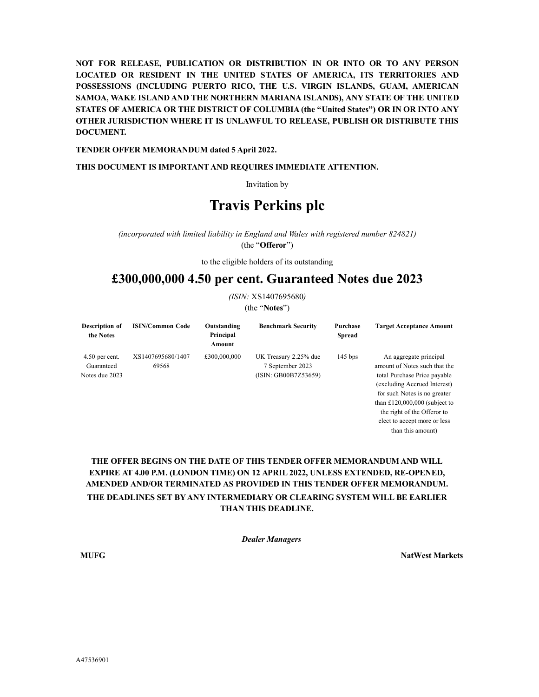**NOT FOR RELEASE, PUBLICATION OR DISTRIBUTION IN OR INTO OR TO ANY PERSON LOCATED OR RESIDENT IN THE UNITED STATES OF AMERICA, ITS TERRITORIES AND POSSESSIONS (INCLUDING PUERTO RICO, THE U.S. VIRGIN ISLANDS, GUAM, AMERICAN SAMOA, WAKE ISLAND AND THE NORTHERN MARIANA ISLANDS), ANY STATE OF THE UNITED STATES OF AMERICA OR THE DISTRICT OF COLUMBIA (the "United States") OR IN OR INTO ANY OTHER JURISDICTION WHERE IT IS UNLAWFUL TO RELEASE, PUBLISH OR DISTRIBUTE THIS DOCUMENT.**

**TENDER OFFER MEMORANDUM dated 5 April 2022.**

**THIS DOCUMENT IS IMPORTANT AND REQUIRES IMMEDIATE ATTENTION.**

Invitation by

# **Travis Perkins plc**

*(incorporated with limited liability in England and Wales with registered number 824821)* (the "**Offeror**")

to the eligible holders of its outstanding

# **£300,000,000 4.50 per cent. Guaranteed Notes due 2023**

*(ISIN:* XS1407695680*)*

(the "**Notes**")

| Description of<br>the Notes                      | <b>ISIN/Common Code</b>    | Outstanding<br>Principal<br>Amount | <b>Benchmark Security</b>                                         | Purchase<br><b>Spread</b> | <b>Target Acceptance Amount</b>                                                                                                                                                                                                                                                |
|--------------------------------------------------|----------------------------|------------------------------------|-------------------------------------------------------------------|---------------------------|--------------------------------------------------------------------------------------------------------------------------------------------------------------------------------------------------------------------------------------------------------------------------------|
| $4.50$ per cent.<br>Guaranteed<br>Notes due 2023 | XS1407695680/1407<br>69568 | £300,000,000                       | UK Treasury 2.25% due<br>7 September 2023<br>(ISIN: GB00B7Z53659) | $145$ bps                 | An aggregate principal<br>amount of Notes such that the<br>total Purchase Price payable<br>(excluding Accrued Interest)<br>for such Notes is no greater<br>than $£120,000,000$ (subject to<br>the right of the Offeror to<br>elect to accept more or less<br>than this amount) |

**THE OFFER BEGINS ON THE DATE OF THIS TENDER OFFER MEMORANDUM AND WILL EXPIRE AT 4.00 P.M. (LONDON TIME) ON 12 APRIL 2022, UNLESS EXTENDED, RE-OPENED, AMENDED AND/OR TERMINATED AS PROVIDED IN THIS TENDER OFFER MEMORANDUM. THE DEADLINES SET BY ANY INTERMEDIARY OR CLEARING SYSTEM WILL BE EARLIER THAN THIS DEADLINE.**

*Dealer Managers*

**MUFG NatWest Markets**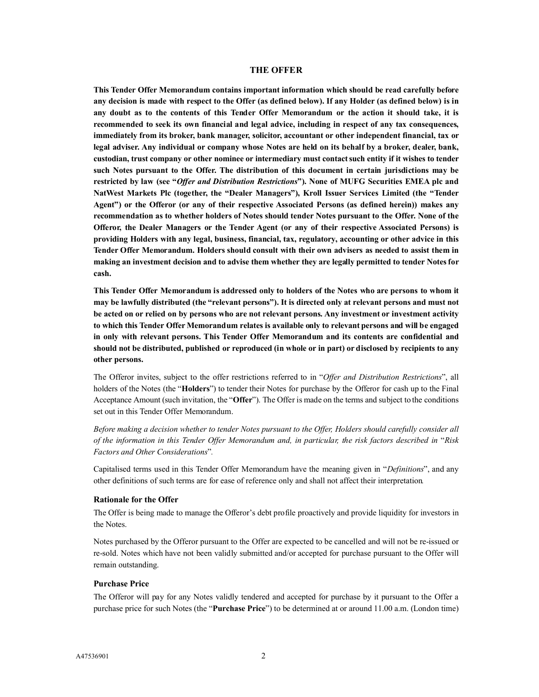#### **THE OFFER**

**This Tender Offer Memorandum contains important information which should be read carefully before any decision is made with respect to the Offer (as defined below). If any Holder (as defined below) is in any doubt as to the contents of this Tender Offer Memorandum or the action it should take, it is recommended to seek its own financial and legal advice, including in respect of any tax consequences, immediately from its broker, bank manager, solicitor, accountant or other independent financial, tax or legal adviser. Any individual or company whose Notes are held on its behalf by a broker, dealer, bank, custodian, trust company or other nominee or intermediary must contact such entity if it wishes to tender such Notes pursuant to the Offer. The distribution of this document in certain jurisdictions may be restricted by law (see "***Offer and Distribution Restrictions***"). None of MUFG Securities EMEA plc and NatWest Markets Plc (together, the "Dealer Managers"), Kroll Issuer Services Limited (the "Tender Agent") or the Offeror (or any of their respective Associated Persons (as defined herein)) makes any recommendation as to whether holders of Notes should tender Notes pursuant to the Offer. None of the Offeror, the Dealer Managers or the Tender Agent (or any of their respective Associated Persons) is providing Holders with any legal, business, financial, tax, regulatory, accounting or other advice in this Tender Offer Memorandum. Holders should consult with their own advisers as needed to assist them in making an investment decision and to advise them whether they are legally permitted to tender Notes for cash.**

**This Tender Offer Memorandum is addressed only to holders of the Notes who are persons to whom it may be lawfully distributed (the "relevant persons"). It is directed only at relevant persons and must not be acted on or relied on by persons who are not relevant persons. Any investment or investment activity to which this Tender Offer Memorandum relates is available only to relevant persons and will be engaged in only with relevant persons. This Tender Offer Memorandum and its contents are confidential and should not be distributed, published or reproduced (in whole or in part) or disclosed by recipients to any other persons.**

The Offeror invites, subject to the offer restrictions referred to in "*Offer and Distribution Restrictions*", all holders of the Notes (the "**Holders**") to tender their Notes for purchase by the Offeror for cash up to the Final Acceptance Amount (such invitation, the "**Offer**"). The Offer is made on the terms and subject to the conditions set out in this Tender Offer Memorandum.

*Before making a decision whether to tender Notes pursuant to the Offer, Holders should carefully consider all of the information in this Tender Offer Memorandum and, in particular, the risk factors described in* "*Risk Factors and Other Considerations*"*.*

Capitalised terms used in this Tender Offer Memorandum have the meaning given in "*Definitions*", and any other definitions of such terms are for ease of reference only and shall not affect their interpretation*.*

#### **Rationale for the Offer**

The Offer is being made to manage the Offeror's debt profile proactively and provide liquidity for investors in the Notes.

Notes purchased by the Offeror pursuant to the Offer are expected to be cancelled and will not be re-issued or re-sold. Notes which have not been validly submitted and/or accepted for purchase pursuant to the Offer will remain outstanding.

#### **Purchase Price**

The Offeror will pay for any Notes validly tendered and accepted for purchase by it pursuant to the Offer a purchase price for such Notes (the "**Purchase Price**") to be determined at or around 11.00 a.m. (London time)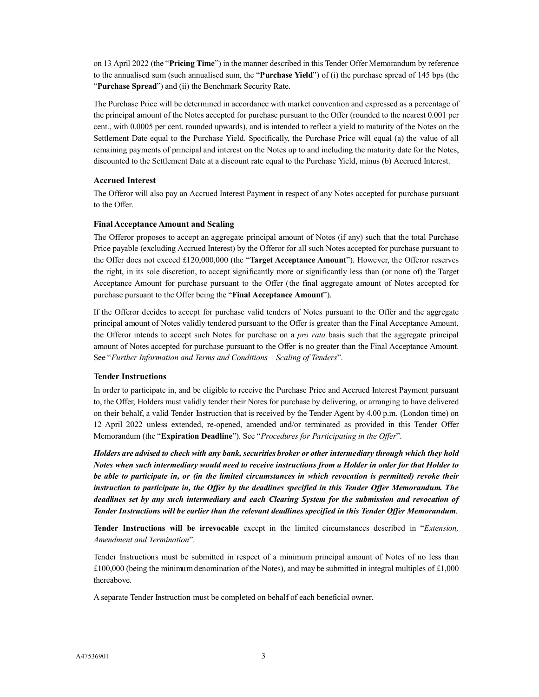on 13 April 2022 (the "**Pricing Time**") in the manner described in this Tender Offer Memorandum by reference to the annualised sum (such annualised sum, the "**Purchase Yield**") of (i) the purchase spread of 145 bps (the "**Purchase Spread**") and (ii) the Benchmark Security Rate.

The Purchase Price will be determined in accordance with market convention and expressed as a percentage of the principal amount of the Notes accepted for purchase pursuant to the Offer (rounded to the nearest 0.001 per cent., with 0.0005 per cent. rounded upwards), and is intended to reflect a yield to maturity of the Notes on the Settlement Date equal to the Purchase Yield. Specifically, the Purchase Price will equal (a) the value of all remaining payments of principal and interest on the Notes up to and including the maturity date for the Notes, discounted to the Settlement Date at a discount rate equal to the Purchase Yield, minus (b) Accrued Interest.

# **Accrued Interest**

The Offeror will also pay an Accrued Interest Payment in respect of any Notes accepted for purchase pursuant to the Offer.

#### **Final Acceptance Amount and Scaling**

The Offeror proposes to accept an aggregate principal amount of Notes (if any) such that the total Purchase Price payable (excluding Accrued Interest) by the Offeror for all such Notes accepted for purchase pursuant to the Offer does not exceed £120,000,000 (the "**Target Acceptance Amount**"). However, the Offeror reserves the right, in its sole discretion, to accept significantly more or significantly less than (or none of) the Target Acceptance Amount for purchase pursuant to the Offer (the final aggregate amount of Notes accepted for purchase pursuant to the Offer being the "**Final Acceptance Amount**").

If the Offeror decides to accept for purchase valid tenders of Notes pursuant to the Offer and the aggregate principal amount of Notes validly tendered pursuant to the Offer is greater than the Final Acceptance Amount, the Offeror intends to accept such Notes for purchase on a *pro rata* basis such that the aggregate principal amount of Notes accepted for purchase pursuant to the Offer is no greater than the Final Acceptance Amount. See "*Further Information and Terms and Conditions – Scaling of Tenders*".

#### **Tender Instructions**

In order to participate in, and be eligible to receive the Purchase Price and Accrued Interest Payment pursuant to, the Offer, Holders must validly tender their Notes for purchase by delivering, or arranging to have delivered on their behalf, a valid Tender Instruction that is received by the Tender Agent by 4.00 p.m. (London time) on 12 April 2022 unless extended, re-opened, amended and/or terminated as provided in this Tender Offer Memorandum (the "**Expiration Deadline**"). See "*Procedures for Participating in the Offer*".

*Holders are advised to check with any bank, securities broker or other intermediary through which they hold Notes when such intermediary would need to receive instructions from a Holder in order for that Holder to be able to participate in, or (in the limited circumstances in which revocation is permitted) revoke their instruction to participate in, the Offer by the deadlines specified in this Tender Offer Memorandum. The deadlines set by any such intermediary and each Clearing System for the submission and revocation of Tender Instructions will be earlier than the relevant deadlines specified in this Tender Offer Memorandum*.

**Tender Instructions will be irrevocable** except in the limited circumstances described in "*Extension, Amendment and Termination*".

Tender Instructions must be submitted in respect of a minimum principal amount of Notes of no less than £100,000 (being the minimum denomination of the Notes), and may be submitted in integral multiples of £1,000 thereabove.

A separate Tender Instruction must be completed on behalf of each beneficial owner.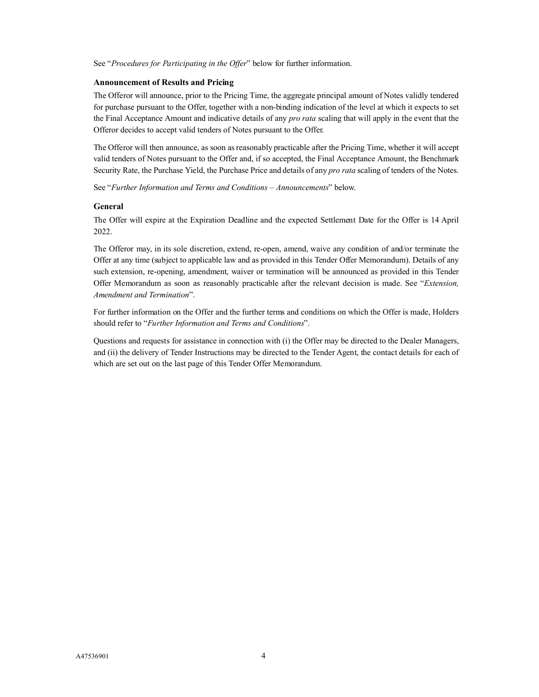See "*Procedures for Participating in the Offer*" below for further information.

# **Announcement of Results and Pricing**

The Offeror will announce, prior to the Pricing Time, the aggregate principal amount of Notes validly tendered for purchase pursuant to the Offer, together with a non-binding indication of the level at which it expects to set the Final Acceptance Amount and indicative details of any *pro rata* scaling that will apply in the event that the Offeror decides to accept valid tenders of Notes pursuant to the Offer.

The Offeror will then announce, as soon as reasonably practicable after the Pricing Time, whether it will accept valid tenders of Notes pursuant to the Offer and, if so accepted, the Final Acceptance Amount, the Benchmark Security Rate, the Purchase Yield, the Purchase Price and details of any *pro rata* scaling of tenders of the Notes.

See "*Further Information and Terms and Conditions – Announcements*" below.

# **General**

The Offer will expire at the Expiration Deadline and the expected Settlement Date for the Offer is 14 April 2022.

The Offeror may, in its sole discretion, extend, re-open, amend, waive any condition of and/or terminate the Offer at any time (subject to applicable law and as provided in this Tender Offer Memorandum). Details of any such extension, re-opening, amendment, waiver or termination will be announced as provided in this Tender Offer Memorandum as soon as reasonably practicable after the relevant decision is made. See "*Extension, Amendment and Termination*".

For further information on the Offer and the further terms and conditions on which the Offer is made, Holders should refer to "*Further Information and Terms and Conditions*".

Questions and requests for assistance in connection with (i) the Offer may be directed to the Dealer Managers, and (ii) the delivery of Tender Instructions may be directed to the Tender Agent, the contact details for each of which are set out on the last page of this Tender Offer Memorandum.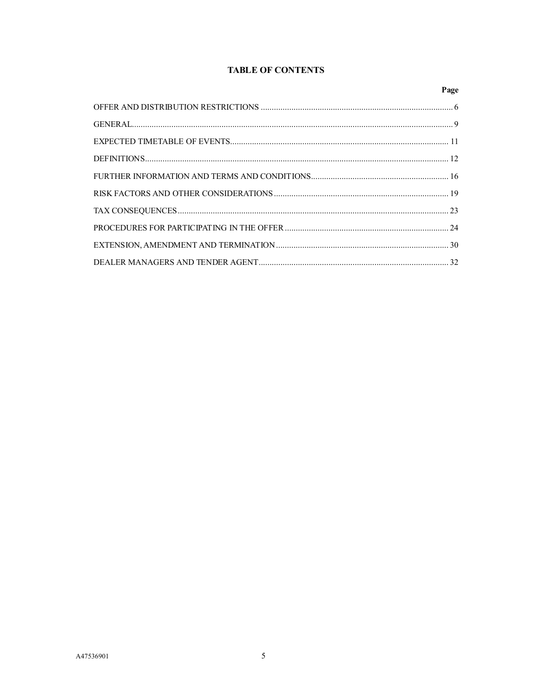# **TABLE OF CONTENTS**

| Page |
|------|
|      |
|      |
|      |
|      |
|      |
|      |
|      |
|      |
|      |
|      |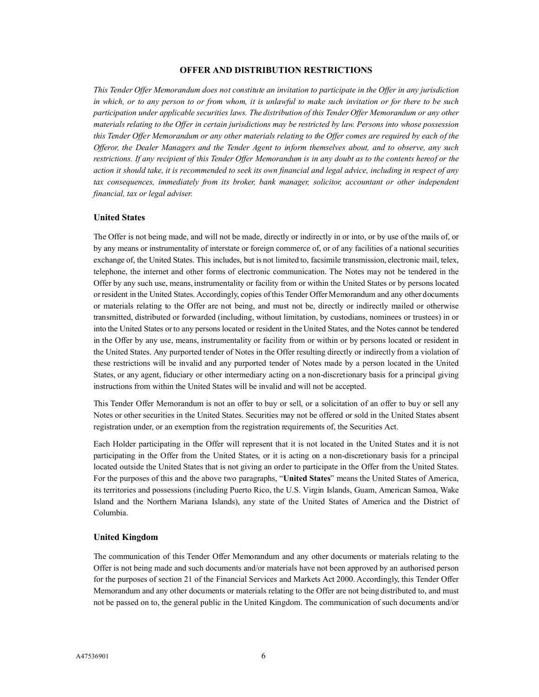# **OFFER AND DISTRIBUTION RESTRICTIONS**

*This Tender Offer Memorandum does not constitute an invitation to participate in the Offer in any jurisdiction in which, or to any person to or from whom, it is unlawful to make such invitation or for there to be such participation under applicable securities laws. The distribution of this Tender Offer Memorandum or any other materials relating to the Offer in certain jurisdictions may be restricted by law. Persons into whose possession this Tender Offer Memorandum or any other materials relating to the Offer comes are required by each of the Offeror, the Dealer Managers and the Tender Agent to inform themselves about, and to observe, any such restrictions. If any recipient of this Tender Offer Memorandum is in any doubt as to the contents hereof or the action it should take, it is recommended to seek its own financial and legal advice, including in respect of any tax consequences, immediately from its broker, bank manager, solicitor, accountant or other independent financial, tax or legal adviser.*

#### **United States**

The Offer is not being made, and will not be made, directly or indirectly in or into, or by use of the mails of, or by any means or instrumentality of interstate or foreign commerce of, or of any facilities of a national securities exchange of, the United States. This includes, but is not limited to, facsimile transmission, electronic mail, telex, telephone, the internet and other forms of electronic communication. The Notes may not be tendered in the Offer by any such use, means, instrumentality or facility from or within the United States or by persons located or resident in the United States. Accordingly, copies of this Tender Offer Memorandum and any other documents or materials relating to the Offer are not being, and must not be, directly or indirectly mailed or otherwise transmitted, distributed or forwarded (including, without limitation, by custodians, nominees or trustees) in or into the United States or to any persons located or resident in the United States, and the Notes cannot be tendered in the Offer by any use, means, instrumentality or facility from or within or by persons located or resident in the United States. Any purported tender of Notes in the Offer resulting directly or indirectly from a violation of these restrictions will be invalid and any purported tender of Notes made by a person located in the United States, or any agent, fiduciary or other intermediary acting on a non-discretionary basis for a principal giving instructions from within the United States will be invalid and will not be accepted.

This Tender Offer Memorandum is not an offer to buy or sell, or a solicitation of an offer to buy or sell any Notes or other securities in the United States. Securities may not be offered or sold in the United States absent registration under, or an exemption from the registration requirements of, the Securities Act.

Each Holder participating in the Offer will represent that it is not located in the United States and it is not participating in the Offer from the United States, or it is acting on a non-discretionary basis for a principal located outside the United States that is not giving an order to participate in the Offer from the United States. For the purposes of this and the above two paragraphs, "**United States**" means the United States of America, its territories and possessions (including Puerto Rico, the U.S. Virgin Islands, Guam, American Samoa, Wake Island and the Northern Mariana Islands), any state of the United States of America and the District of Columbia.

#### **United Kingdom**

The communication of this Tender Offer Memorandum and any other documents or materials relating to the Offer is not being made and such documents and/or materials have not been approved by an authorised person for the purposes of section 21 of the Financial Services and Markets Act 2000. Accordingly, this Tender Offer Memorandum and any other documents or materials relating to the Offer are not being distributed to, and must not be passed on to, the general public in the United Kingdom. The communication of such documents and/or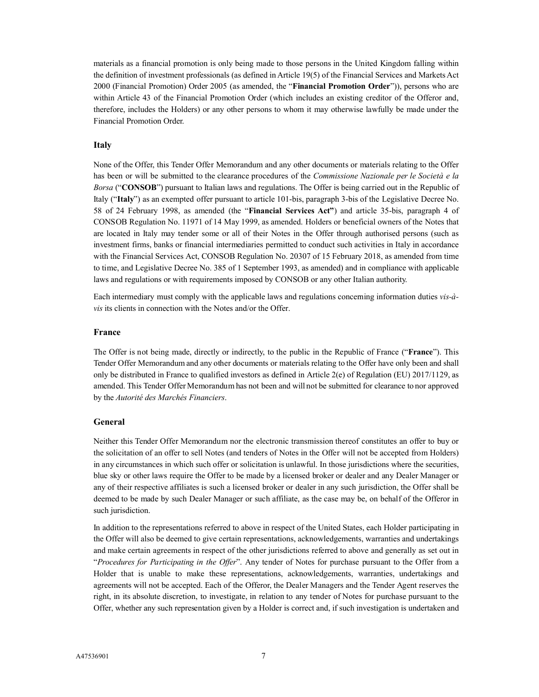materials as a financial promotion is only being made to those persons in the United Kingdom falling within the definition of investment professionals (as defined in Article 19(5) of the Financial Services and Markets Act 2000 (Financial Promotion) Order 2005 (as amended, the "**Financial Promotion Order**")), persons who are within Article 43 of the Financial Promotion Order (which includes an existing creditor of the Offeror and, therefore, includes the Holders) or any other persons to whom it may otherwise lawfully be made under the Financial Promotion Order.

# **Italy**

None of the Offer, this Tender Offer Memorandum and any other documents or materials relating to the Offer has been or will be submitted to the clearance procedures of the *Commissione Nazionale per le Società e la Borsa* ("**CONSOB**") pursuant to Italian laws and regulations. The Offer is being carried out in the Republic of Italy ("**Italy**") as an exempted offer pursuant to article 101-bis, paragraph 3-bis of the Legislative Decree No. 58 of 24 February 1998, as amended (the "**Financial Services Act"**) and article 35-bis, paragraph 4 of CONSOB Regulation No. 11971 of 14 May 1999, as amended. Holders or beneficial owners of the Notes that are located in Italy may tender some or all of their Notes in the Offer through authorised persons (such as investment firms, banks or financial intermediaries permitted to conduct such activities in Italy in accordance with the Financial Services Act, CONSOB Regulation No. 20307 of 15 February 2018, as amended from time to time, and Legislative Decree No. 385 of 1 September 1993, as amended) and in compliance with applicable laws and regulations or with requirements imposed by CONSOB or any other Italian authority.

Each intermediary must comply with the applicable laws and regulations concerning information duties *vis-àvis* its clients in connection with the Notes and/or the Offer.

#### **France**

The Offer is not being made, directly or indirectly, to the public in the Republic of France ("**France**"). This Tender Offer Memorandum and any other documents or materials relating to the Offer have only been and shall only be distributed in France to qualified investors as defined in Article 2(e) of Regulation (EU) 2017/1129, as amended. This Tender Offer Memorandum has not been and will not be submitted for clearance to nor approved by the *Autorité des Marchés Financiers*.

#### **General**

Neither this Tender Offer Memorandum nor the electronic transmission thereof constitutes an offer to buy or the solicitation of an offer to sell Notes (and tenders of Notes in the Offer will not be accepted from Holders) in any circumstances in which such offer or solicitation is unlawful. In those jurisdictions where the securities, blue sky or other laws require the Offer to be made by a licensed broker or dealer and any Dealer Manager or any of their respective affiliates is such a licensed broker or dealer in any such jurisdiction, the Offer shall be deemed to be made by such Dealer Manager or such affiliate, as the case may be, on behalf of the Offeror in such jurisdiction.

In addition to the representations referred to above in respect of the United States, each Holder participating in the Offer will also be deemed to give certain representations, acknowledgements, warranties and undertakings and make certain agreements in respect of the other jurisdictions referred to above and generally as set out in "*Procedures for Participating in the Offer*". Any tender of Notes for purchase pursuant to the Offer from a Holder that is unable to make these representations, acknowledgements, warranties, undertakings and agreements will not be accepted. Each of the Offeror, the Dealer Managers and the Tender Agent reserves the right, in its absolute discretion, to investigate, in relation to any tender of Notes for purchase pursuant to the Offer, whether any such representation given by a Holder is correct and, if such investigation is undertaken and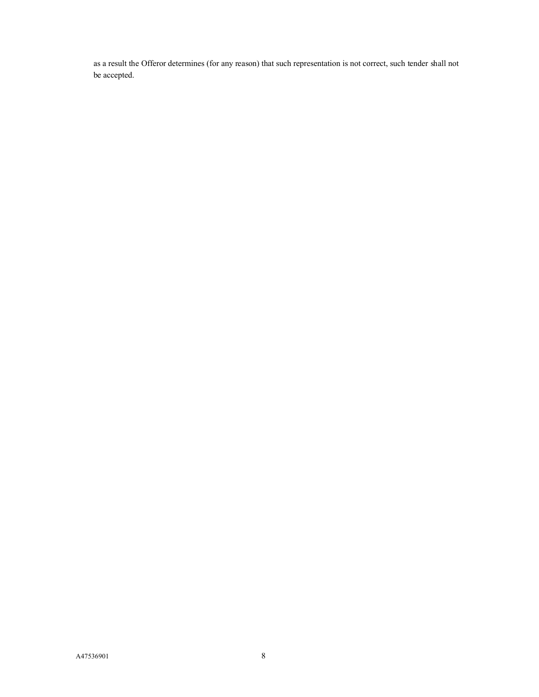as a result the Offeror determines (for any reason) that such representation is not correct, such tender shall not be accepted.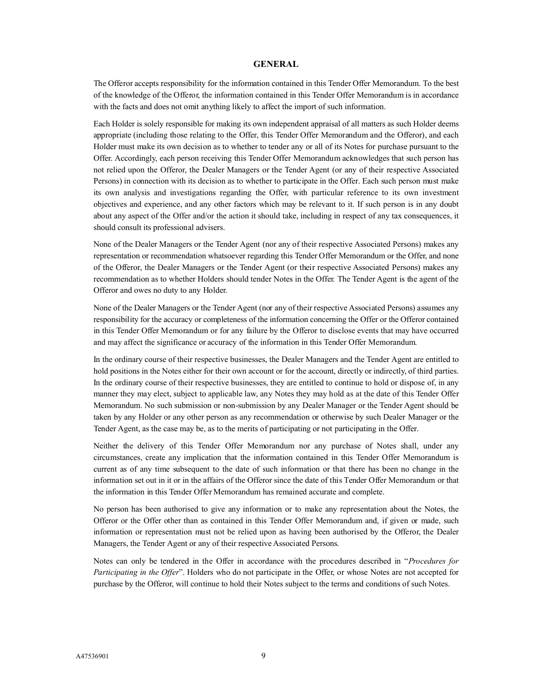#### <span id="page-11-0"></span>**GENERAL**

The Offeror accepts responsibility for the information contained in this Tender Offer Memorandum. To the best of the knowledge of the Offeror, the information contained in this Tender Offer Memorandum is in accordance with the facts and does not omit anything likely to affect the import of such information.

Each Holder is solely responsible for making its own independent appraisal of all matters as such Holder deems appropriate (including those relating to the Offer, this Tender Offer Memorandum and the Offeror), and each Holder must make its own decision as to whether to tender any or all of its Notes for purchase pursuant to the Offer. Accordingly, each person receiving this Tender Offer Memorandum acknowledges that such person has not relied upon the Offeror, the Dealer Managers or the Tender Agent (or any of their respective Associated Persons) in connection with its decision as to whether to participate in the Offer. Each such person must make its own analysis and investigations regarding the Offer, with particular reference to its own investment objectives and experience, and any other factors which may be relevant to it. If such person is in any doubt about any aspect of the Offer and/or the action it should take, including in respect of any tax consequences, it should consult its professional advisers.

None of the Dealer Managers or the Tender Agent (nor any of their respective Associated Persons) makes any representation or recommendation whatsoever regarding this Tender Offer Memorandum or the Offer, and none of the Offeror, the Dealer Managers or the Tender Agent (or their respective Associated Persons) makes any recommendation as to whether Holders should tender Notes in the Offer. The Tender Agent is the agent of the Offeror and owes no duty to any Holder.

None of the Dealer Managers or the Tender Agent (nor any of their respective Associated Persons) assumes any responsibility for the accuracy or completeness of the information concerning the Offer or the Offeror contained in this Tender Offer Memorandum or for any failure by the Offeror to disclose events that may have occurred and may affect the significance or accuracy of the information in this Tender Offer Memorandum.

In the ordinary course of their respective businesses, the Dealer Managers and the Tender Agent are entitled to hold positions in the Notes either for their own account or for the account, directly or indirectly, of third parties. In the ordinary course of their respective businesses, they are entitled to continue to hold or dispose of, in any manner they may elect, subject to applicable law, any Notes they may hold as at the date of this Tender Offer Memorandum. No such submission or non-submission by any Dealer Manager or the Tender Agent should be taken by any Holder or any other person as any recommendation or otherwise by such Dealer Manager or the Tender Agent, as the case may be, as to the merits of participating or not participating in the Offer.

Neither the delivery of this Tender Offer Memorandum nor any purchase of Notes shall, under any circumstances, create any implication that the information contained in this Tender Offer Memorandum is current as of any time subsequent to the date of such information or that there has been no change in the information set out in it or in the affairs of the Offeror since the date of this Tender Offer Memorandum or that the information in this Tender Offer Memorandum has remained accurate and complete.

No person has been authorised to give any information or to make any representation about the Notes, the Offeror or the Offer other than as contained in this Tender Offer Memorandum and, if given or made, such information or representation must not be relied upon as having been authorised by the Offeror, the Dealer Managers, the Tender Agent or any of their respective Associated Persons.

Notes can only be tendered in the Offer in accordance with the procedures described in "*Procedures for Participating in the Offer*". Holders who do not participate in the Offer, or whose Notes are not accepted for purchase by the Offeror, will continue to hold their Notes subject to the terms and conditions of such Notes.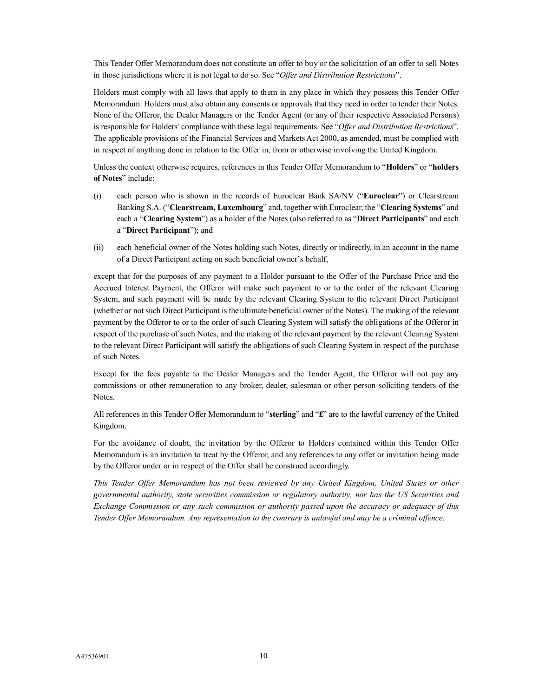This Tender Offer Memorandum does not constitute an offer to buy or the solicitation of an offer to sell Notes in those jurisdictions where it is not legal to do so. See "*Offer and Distribution Restrictions*".

Holders must comply with all laws that apply to them in any place in which they possess this Tender Offer Memorandum. Holders must also obtain any consents or approvals that they need in order to tender their Notes. None of the Offeror, the Dealer Managers or the Tender Agent (or any of their respective Associated Persons) is responsible for Holders' compliance with these legal requirements. See "*Offer and Distribution Restrictions*". The applicable provisions of the Financial Services and Markets Act 2000, as amended, must be complied with in respect of anything done in relation to the Offer in, from or otherwise involving the United Kingdom.

Unless the context otherwise requires, references in this Tender Offer Memorandum to "**Holders**" or "**holders of Notes**" include:

- (i) each person who is shown in the records of Euroclear Bank SA/NV ("**Euroclear**") or Clearstream Banking S.A. ("**Clearstream, Luxembourg**" and, together with Euroclear, the "**Clearing Systems**" and each a "**Clearing System**") as a holder of the Notes (also referred to as "**Direct Participants**" and each a "**Direct Participant**"); and
- (ii) each beneficial owner of the Notes holding such Notes, directly or indirectly, in an account in the name of a Direct Participant acting on such beneficial owner's behalf,

except that for the purposes of any payment to a Holder pursuant to the Offer of the Purchase Price and the Accrued Interest Payment, the Offeror will make such payment to or to the order of the relevant Clearing System, and such payment will be made by the relevant Clearing System to the relevant Direct Participant (whether or not such Direct Participant is the ultimate beneficial owner of the Notes). The making of the relevant payment by the Offeror to or to the order of such Clearing System will satisfy the obligations of the Offeror in respect of the purchase of such Notes, and the making of the relevant payment by the relevant Clearing System to the relevant Direct Participant will satisfy the obligations of such Clearing System in respect of the purchase of such Notes.

Except for the fees payable to the Dealer Managers and the Tender Agent, the Offeror will not pay any commissions or other remuneration to any broker, dealer, salesman or other person soliciting tenders of the Notes.

All references in this Tender Offer Memorandum to "**sterling**" and "**£**" are to the lawful currency of the United Kingdom.

For the avoidance of doubt, the invitation by the Offeror to Holders contained within this Tender Offer Memorandum is an invitation to treat by the Offeror, and any references to any offer or invitation being made by the Offeror under or in respect of the Offer shall be construed accordingly.

*This Tender Offer Memorandum has not been reviewed by any United Kingdom, United States or other governmental authority, state securities commission or regulatory authority, nor has the US Securities and Exchange Commission or any such commission or authority passed upon the accuracy or adequacy of this Tender Offer Memorandum. Any representation to the contrary is unlawful and may be a criminal offence.*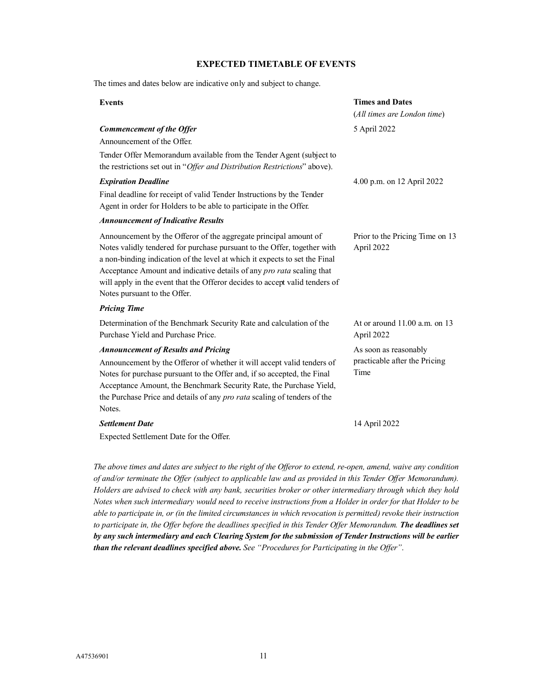# <span id="page-13-0"></span>**EXPECTED TIMETABLE OF EVENTS**

The times and dates below are indicative only and subject to change.

#### **Events Times and Dates** (*All times are London time*) *Commencement of the Offer* Announcement of the Offer. Tender Offer Memorandum available from the Tender Agent (subject to the restrictions set out in "*Offer and Distribution Restrictions*" above). 5 April 2022 *Expiration Deadline* Final deadline for receipt of valid Tender Instructions by the Tender Agent in order for Holders to be able to participate in the Offer. 4.00 p.m. on 12 April 2022 *Announcement of Indicative Results* Announcement by the Offeror of the aggregate principal amount of Notes validly tendered for purchase pursuant to the Offer, together with a non-binding indication of the level at which it expects to set the Final Acceptance Amount and indicative details of any *pro rata* scaling that will apply in the event that the Offeror decides to accept valid tenders of Notes pursuant to the Offer. Prior to the Pricing Time on 13 April 2022 *Pricing Time* Determination of the Benchmark Security Rate and calculation of the Purchase Yield and Purchase Price. At or around 11.00 a.m. on 13 April 2022 *Announcement of Results and Pricing* Announcement by the Offeror of whether it will accept valid tenders of Notes for purchase pursuant to the Offer and, if so accepted, the Final Acceptance Amount, the Benchmark Security Rate, the Purchase Yield, the Purchase Price and details of any *pro rata* scaling of tenders of the Notes. As soon as reasonably practicable after the Pricing Time *Settlement Date* 14 April 2022

Expected Settlement Date for the Offer.

*The above times and dates are subject to the right of the Offeror to extend, re-open, amend, waive any condition of and/or terminate the Offer (subject to applicable law and as provided in this Tender Offer Memorandum). Holders are advised to check with any bank, securities broker or other intermediary through which they hold Notes when such intermediary would need to receive instructions from a Holder in order for that Holder to be able to participate in, or (in the limited circumstances in which revocation is permitted) revoke their instruction to participate in, the Offer before the deadlines specified in this Tender Offer Memorandum. The deadlines set by any such intermediary and each Clearing System for the submission of Tender Instructions will be earlier than the relevant deadlines specified above. See "Procedures for Participating in the Offer"*.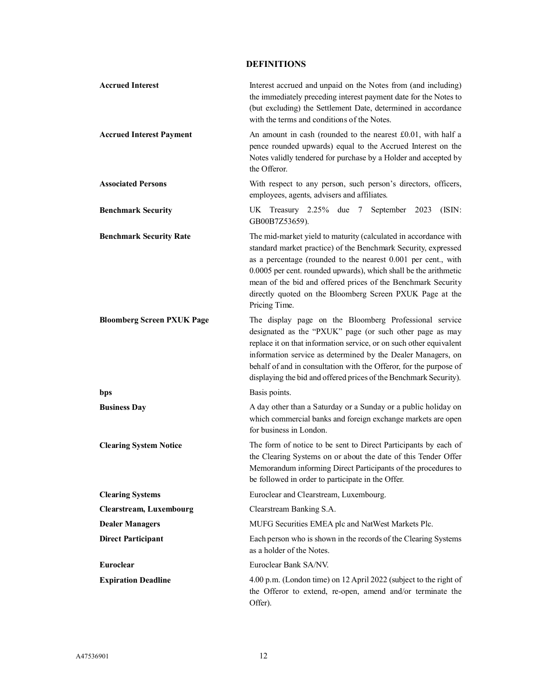# <span id="page-14-0"></span>**DEFINITIONS**

| <b>Accrued Interest</b>           | Interest accrued and unpaid on the Notes from (and including)<br>the immediately preceding interest payment date for the Notes to<br>(but excluding) the Settlement Date, determined in accordance<br>with the terms and conditions of the Notes.                                                                                                                                                                   |
|-----------------------------------|---------------------------------------------------------------------------------------------------------------------------------------------------------------------------------------------------------------------------------------------------------------------------------------------------------------------------------------------------------------------------------------------------------------------|
| <b>Accrued Interest Payment</b>   | An amount in cash (rounded to the nearest £0.01, with half a<br>pence rounded upwards) equal to the Accrued Interest on the<br>Notes validly tendered for purchase by a Holder and accepted by<br>the Offeror.                                                                                                                                                                                                      |
| <b>Associated Persons</b>         | With respect to any person, such person's directors, officers,<br>employees, agents, advisers and affiliates.                                                                                                                                                                                                                                                                                                       |
| <b>Benchmark Security</b>         | UK Treasury $2.25\%$ due 7<br>September<br>2023<br>(ISIN:<br>GB00B7Z53659).                                                                                                                                                                                                                                                                                                                                         |
| <b>Benchmark Security Rate</b>    | The mid-market yield to maturity (calculated in accordance with<br>standard market practice) of the Benchmark Security, expressed<br>as a percentage (rounded to the nearest 0.001 per cent., with<br>0.0005 per cent. rounded upwards), which shall be the arithmetic<br>mean of the bid and offered prices of the Benchmark Security<br>directly quoted on the Bloomberg Screen PXUK Page at the<br>Pricing Time. |
| <b>Bloomberg Screen PXUK Page</b> | The display page on the Bloomberg Professional service<br>designated as the "PXUK" page (or such other page as may<br>replace it on that information service, or on such other equivalent<br>information service as determined by the Dealer Managers, on<br>behalf of and in consultation with the Offeror, for the purpose of<br>displaying the bid and offered prices of the Benchmark Security).                |
| bps                               | Basis points.                                                                                                                                                                                                                                                                                                                                                                                                       |
| <b>Business Day</b>               | A day other than a Saturday or a Sunday or a public holiday on<br>which commercial banks and foreign exchange markets are open<br>for business in London.                                                                                                                                                                                                                                                           |
| <b>Clearing System Notice</b>     | The form of notice to be sent to Direct Participants by each of<br>the Clearing Systems on or about the date of this Tender Offer<br>Memorandum informing Direct Participants of the procedures to<br>be followed in order to participate in the Offer.                                                                                                                                                             |
| <b>Clearing Systems</b>           | Euroclear and Clearstream, Luxembourg.                                                                                                                                                                                                                                                                                                                                                                              |
| <b>Clearstream, Luxembourg</b>    | Clearstream Banking S.A.                                                                                                                                                                                                                                                                                                                                                                                            |
| <b>Dealer Managers</b>            | MUFG Securities EMEA plc and NatWest Markets Plc.                                                                                                                                                                                                                                                                                                                                                                   |
| <b>Direct Participant</b>         | Each person who is shown in the records of the Clearing Systems<br>as a holder of the Notes.                                                                                                                                                                                                                                                                                                                        |
| <b>Euroclear</b>                  | Euroclear Bank SA/NV.                                                                                                                                                                                                                                                                                                                                                                                               |
| <b>Expiration Deadline</b>        | 4.00 p.m. (London time) on 12 April 2022 (subject to the right of<br>the Offeror to extend, re-open, amend and/or terminate the<br>Offer).                                                                                                                                                                                                                                                                          |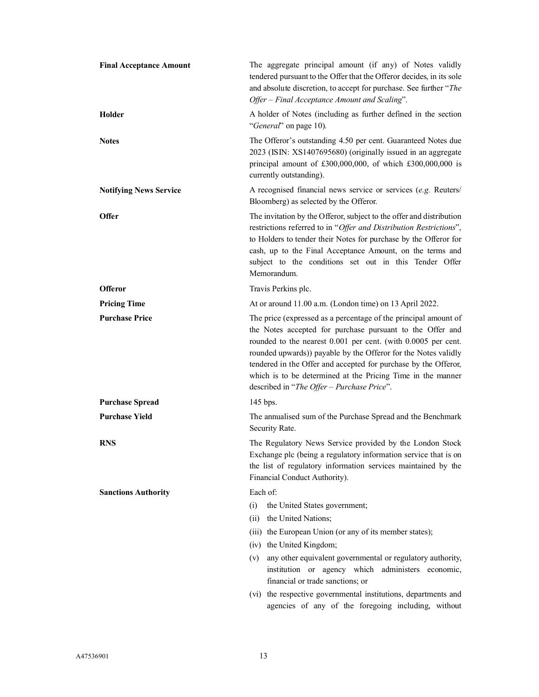| <b>Final Acceptance Amount</b> | The aggregate principal amount (if any) of Notes validly<br>tendered pursuant to the Offer that the Offeror decides, in its sole<br>and absolute discretion, to accept for purchase. See further "The<br>Offer - Final Acceptance Amount and Scaling".                                                                                                                                                                                          |
|--------------------------------|-------------------------------------------------------------------------------------------------------------------------------------------------------------------------------------------------------------------------------------------------------------------------------------------------------------------------------------------------------------------------------------------------------------------------------------------------|
| Holder                         | A holder of Notes (including as further defined in the section<br>"General" on page 10).                                                                                                                                                                                                                                                                                                                                                        |
| <b>Notes</b>                   | The Offeror's outstanding 4.50 per cent. Guaranteed Notes due<br>2023 (ISIN: XS1407695680) (originally issued in an aggregate<br>principal amount of £300,000,000, of which £300,000,000 is<br>currently outstanding).                                                                                                                                                                                                                          |
| <b>Notifying News Service</b>  | A recognised financial news service or services (e.g. Reuters/<br>Bloomberg) as selected by the Offeror.                                                                                                                                                                                                                                                                                                                                        |
| Offer                          | The invitation by the Offeror, subject to the offer and distribution<br>restrictions referred to in "Offer and Distribution Restrictions",<br>to Holders to tender their Notes for purchase by the Offeror for<br>cash, up to the Final Acceptance Amount, on the terms and<br>subject to the conditions set out in this Tender Offer<br>Memorandum.                                                                                            |
| <b>Offeror</b>                 | Travis Perkins plc.                                                                                                                                                                                                                                                                                                                                                                                                                             |
| <b>Pricing Time</b>            | At or around 11.00 a.m. (London time) on 13 April 2022.                                                                                                                                                                                                                                                                                                                                                                                         |
| <b>Purchase Price</b>          | The price (expressed as a percentage of the principal amount of<br>the Notes accepted for purchase pursuant to the Offer and<br>rounded to the nearest 0.001 per cent. (with 0.0005 per cent.<br>rounded upwards)) payable by the Offeror for the Notes validly<br>tendered in the Offer and accepted for purchase by the Offeror,<br>which is to be determined at the Pricing Time in the manner<br>described in "The Offer - Purchase Price". |
| <b>Purchase Spread</b>         | 145 bps.                                                                                                                                                                                                                                                                                                                                                                                                                                        |
| <b>Purchase Yield</b>          | The annualised sum of the Purchase Spread and the Benchmark<br>Security Rate.                                                                                                                                                                                                                                                                                                                                                                   |
| <b>RNS</b>                     | The Regulatory News Service provided by the London Stock<br>Exchange plc (being a regulatory information service that is on<br>the list of regulatory information services maintained by the<br>Financial Conduct Authority).                                                                                                                                                                                                                   |
| <b>Sanctions Authority</b>     | Each of:                                                                                                                                                                                                                                                                                                                                                                                                                                        |
|                                | the United States government;<br>(i)                                                                                                                                                                                                                                                                                                                                                                                                            |
|                                | the United Nations;<br>(ii)                                                                                                                                                                                                                                                                                                                                                                                                                     |
|                                | (iii) the European Union (or any of its member states);                                                                                                                                                                                                                                                                                                                                                                                         |
|                                | (iv) the United Kingdom;                                                                                                                                                                                                                                                                                                                                                                                                                        |
|                                | any other equivalent governmental or regulatory authority,<br>(v)<br>institution or agency which administers economic,<br>financial or trade sanctions; or                                                                                                                                                                                                                                                                                      |
|                                | (vi) the respective governmental institutions, departments and<br>agencies of any of the foregoing including, without                                                                                                                                                                                                                                                                                                                           |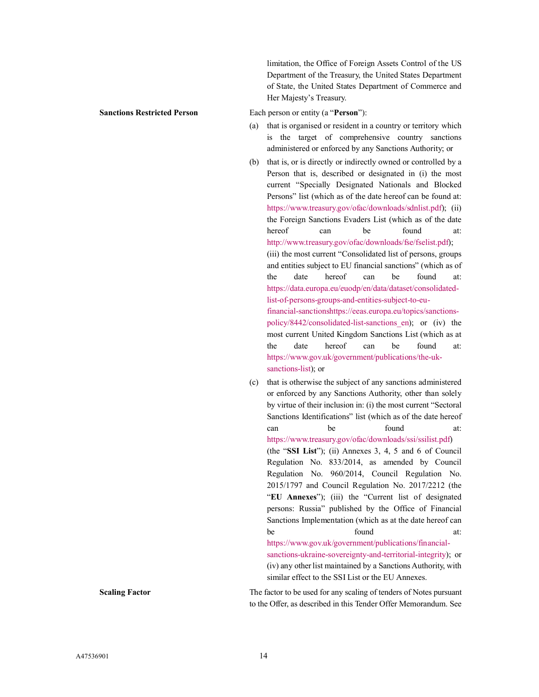limitation, the Office of Foreign Assets Control of the US Department of the Treasury, the United States Department of State, the United States Department of Commerce and Her Majesty's Treasury.

**Sanctions Restricted Person** Each person or entity (a "**Person**"):

- (a) that is organised or resident in a country or territory which is the target of comprehensive country sanctions administered or enforced by any Sanctions Authority; or
- (b) that is, or is directly or indirectly owned or controlled by a [Person that is, described or designated in \(i\) the m](https://www.treasury.gov/ofac/downloads/sdnlist.pdf)ost current "Specially Designated Nationals and Blocked Persons" list (which as of the date hereof can be found at: https://www.treasury.gov/ofac/downloads/sdnlist.pdf); (ii) [the Foreign Sanctions Evaders List \(which as of the da](http://www.treasury.gov/ofac/downloads/fse/fselist.pdf)te hereof can be found at: http://www.treasury.gov/ofac/downloads/fse/fselist.pdf); (iii) the most current "Consolidated list of persons, groups [and entities subject to EU financial sanctions"](https://data.europa.eu/euodp/en/data/dataset/consolidated-list-of-persons-groups-and-entities-subject-to-eu-financial-sanctions) (which as of [the date hereof can be found at:](https://data.europa.eu/euodp/en/data/dataset/consolidated-list-of-persons-groups-and-entities-subject-to-eu-financial-sanctions)  [https://data.europ](https://data.europa.eu/euodp/en/data/dataset/consolidated-list-of-persons-groups-and-entities-subject-to-eu-financial-sanctions)[a.eu/euodp/en/data/dataset/consolidated](https://eeas.europa.eu/topics/sanctions-policy/8442/consolidated-list-sanctions_en)[list-of-persons-groups-and-entities-subject-t](https://eeas.europa.eu/topics/sanctions-policy/8442/consolidated-list-sanctions_en)o-eufinancial-sanctionshttps://eeas.europa.eu/topics/sanctionspolicy/8442/consolidated-list-sanctions\_en); or (iv) the [most current United Kingdom Sanctions List \(which as at](https://www.gov.uk/government/publications/the-uk-sanctions-list)  [the date](https://www.gov.uk/government/publications/the-uk-sanctions-list) hereof can be found at: https://www.gov.uk/government/publications/the-uksanctions-list); or
- (c) that is otherwise the subject of any sanctions administered or enforced by any Sanctions Authority, other than solely by virtue of their inclusion in: (i) the most current "Sectoral Sanctions Identifications" list (which as of the date hereof [can be found a](https://www.treasury.gov/ofac/downloads/ssi/ssilist.pdf)t: https://www.treasury.gov/ofac/downloads/ssi/ssilist.pdf) (the "**SSI List**"); (ii) Annexes 3, 4, 5 and 6 of Council Regulation No. 833/2014, as amended by Council Regulation No. 960/2014, Council Regulation No. 2015/1797 and Council Regulation No. 2017/2212 (the "**EU Annexes**"); (iii) the "Current list of designated persons: Russia" published by the Office of Financial Sanctions Implementation (which as at the date hereof can be found at: [https://www.gov.uk/government/publications/financial](https://www.gov.uk/government/publications/financial-sanctions-ukraine-sovereignty-and-territorial-integrity)sanctions-ukraine-sovereignty-and-territorial-integrity); or (iv) any other list maintained by a Sanctions Authority, with similar effect to the SSI List or the EU Annexes.

**Scaling Factor** The factor to be used for any scaling of tenders of Notes pursuant to the Offer, as described in this Tender Offer Memorandum. See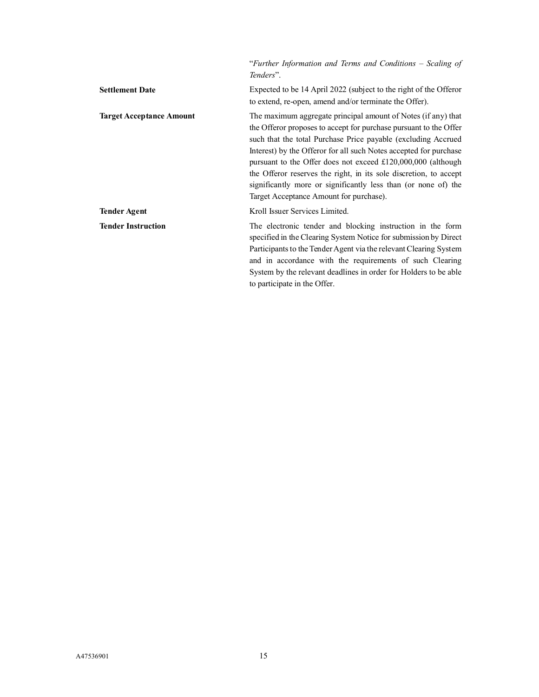|                                 | "Further Information and Terms and Conditions – Scaling of<br>Tenders".                                                                                                                                                                                                                                                                                                                                                                                                                                                      |
|---------------------------------|------------------------------------------------------------------------------------------------------------------------------------------------------------------------------------------------------------------------------------------------------------------------------------------------------------------------------------------------------------------------------------------------------------------------------------------------------------------------------------------------------------------------------|
| <b>Settlement Date</b>          | Expected to be 14 April 2022 (subject to the right of the Offeror<br>to extend, re-open, amend and/or terminate the Offer).                                                                                                                                                                                                                                                                                                                                                                                                  |
| <b>Target Acceptance Amount</b> | The maximum aggregate principal amount of Notes (if any) that<br>the Offeror proposes to accept for purchase pursuant to the Offer<br>such that the total Purchase Price payable (excluding Accrued<br>Interest) by the Offeror for all such Notes accepted for purchase<br>pursuant to the Offer does not exceed $£120,000,000$ (although<br>the Offeror reserves the right, in its sole discretion, to accept<br>significantly more or significantly less than (or none of) the<br>Target Acceptance Amount for purchase). |
| <b>Tender Agent</b>             | Kroll Issuer Services Limited.                                                                                                                                                                                                                                                                                                                                                                                                                                                                                               |
| <b>Tender Instruction</b>       | The electronic tender and blocking instruction in the form<br>specified in the Clearing System Notice for submission by Direct<br>Participants to the Tender Agent via the relevant Clearing System<br>and in accordance with the requirements of such Clearing<br>System by the relevant deadlines in order for Holders to be able<br>to participate in the Offer.                                                                                                                                                          |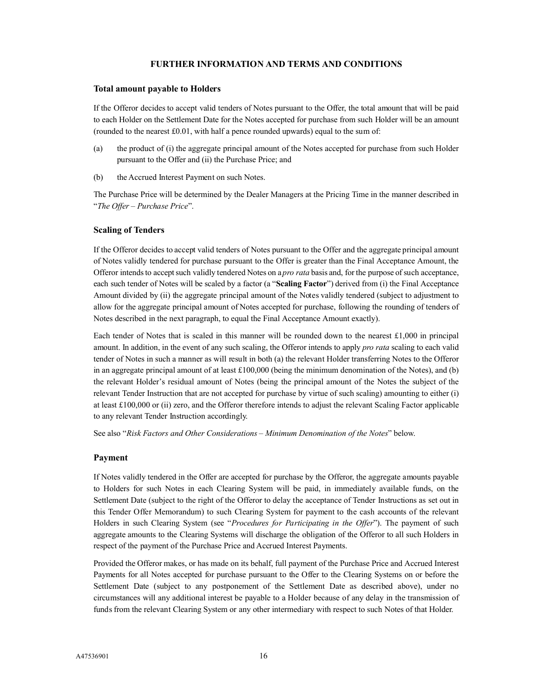# <span id="page-18-0"></span>**FURTHER INFORMATION AND TERMS AND CONDITIONS**

#### **Total amount payable to Holders**

If the Offeror decides to accept valid tenders of Notes pursuant to the Offer, the total amount that will be paid to each Holder on the Settlement Date for the Notes accepted for purchase from such Holder will be an amount (rounded to the nearest £0.01, with half a pence rounded upwards) equal to the sum of:

- (a) the product of (i) the aggregate principal amount of the Notes accepted for purchase from such Holder pursuant to the Offer and (ii) the Purchase Price; and
- (b) the Accrued Interest Payment on such Notes.

The Purchase Price will be determined by the Dealer Managers at the Pricing Time in the manner described in "*The Offer – Purchase Price*".

#### **Scaling of Tenders**

If the Offeror decides to accept valid tenders of Notes pursuant to the Offer and the aggregate principal amount of Notes validly tendered for purchase pursuant to the Offer is greater than the Final Acceptance Amount, the Offeror intends to accept such validly tendered Notes on a *pro rata* basis and, for the purpose of such acceptance, each such tender of Notes will be scaled by a factor (a "**Scaling Factor**") derived from (i) the Final Acceptance Amount divided by (ii) the aggregate principal amount of the Notes validly tendered (subject to adjustment to allow for the aggregate principal amount of Notes accepted for purchase, following the rounding of tenders of Notes described in the next paragraph, to equal the Final Acceptance Amount exactly).

Each tender of Notes that is scaled in this manner will be rounded down to the nearest  $\pounds1,000$  in principal amount. In addition, in the event of any such scaling, the Offeror intends to apply *pro rata* scaling to each valid tender of Notes in such a manner as will result in both (a) the relevant Holder transferring Notes to the Offeror in an aggregate principal amount of at least £100,000 (being the minimum denomination of the Notes), and (b) the relevant Holder's residual amount of Notes (being the principal amount of the Notes the subject of the relevant Tender Instruction that are not accepted for purchase by virtue of such scaling) amounting to either (i) at least £100,000 or (ii) zero, and the Offeror therefore intends to adjust the relevant Scaling Factor applicable to any relevant Tender Instruction accordingly.

See also "*Risk Factors and Other Considerations – Minimum Denomination of the Notes*" below.

#### **Payment**

If Notes validly tendered in the Offer are accepted for purchase by the Offeror, the aggregate amounts payable to Holders for such Notes in each Clearing System will be paid, in immediately available funds, on the Settlement Date (subject to the right of the Offeror to delay the acceptance of Tender Instructions as set out in this Tender Offer Memorandum) to such Clearing System for payment to the cash accounts of the relevant Holders in such Clearing System (see "*Procedures for Participating in the Offer*"). The payment of such aggregate amounts to the Clearing Systems will discharge the obligation of the Offeror to all such Holders in respect of the payment of the Purchase Price and Accrued Interest Payments.

Provided the Offeror makes, or has made on its behalf, full payment of the Purchase Price and Accrued Interest Payments for all Notes accepted for purchase pursuant to the Offer to the Clearing Systems on or before the Settlement Date (subject to any postponement of the Settlement Date as described above), under no circumstances will any additional interest be payable to a Holder because of any delay in the transmission of funds from the relevant Clearing System or any other intermediary with respect to such Notes of that Holder.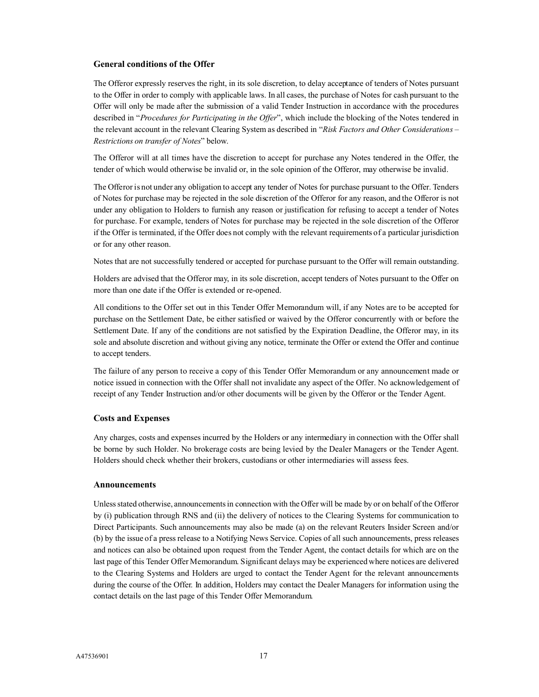# **General conditions of the Offer**

The Offeror expressly reserves the right, in its sole discretion, to delay acceptance of tenders of Notes pursuant to the Offer in order to comply with applicable laws. In all cases, the purchase of Notes for cash pursuant to the Offer will only be made after the submission of a valid Tender Instruction in accordance with the procedures described in "*Procedures for Participating in the Offer*", which include the blocking of the Notes tendered in the relevant account in the relevant Clearing System as described in "*Risk Factors and Other Considerations – Restrictions on transfer of Notes*" below.

The Offeror will at all times have the discretion to accept for purchase any Notes tendered in the Offer, the tender of which would otherwise be invalid or, in the sole opinion of the Offeror, may otherwise be invalid.

The Offeror is not under any obligation to accept any tender of Notes for purchase pursuant to the Offer. Tenders of Notes for purchase may be rejected in the sole discretion of the Offeror for any reason, and the Offeror is not under any obligation to Holders to furnish any reason or justification for refusing to accept a tender of Notes for purchase. For example, tenders of Notes for purchase may be rejected in the sole discretion of the Offeror if the Offer is terminated, if the Offer does not comply with the relevant requirements of a particular jurisdiction or for any other reason.

Notes that are not successfully tendered or accepted for purchase pursuant to the Offer will remain outstanding.

Holders are advised that the Offeror may, in its sole discretion, accept tenders of Notes pursuant to the Offer on more than one date if the Offer is extended or re-opened.

All conditions to the Offer set out in this Tender Offer Memorandum will, if any Notes are to be accepted for purchase on the Settlement Date, be either satisfied or waived by the Offeror concurrently with or before the Settlement Date. If any of the conditions are not satisfied by the Expiration Deadline, the Offeror may, in its sole and absolute discretion and without giving any notice, terminate the Offer or extend the Offer and continue to accept tenders.

The failure of any person to receive a copy of this Tender Offer Memorandum or any announcement made or notice issued in connection with the Offer shall not invalidate any aspect of the Offer. No acknowledgement of receipt of any Tender Instruction and/or other documents will be given by the Offeror or the Tender Agent.

#### **Costs and Expenses**

Any charges, costs and expenses incurred by the Holders or any intermediary in connection with the Offer shall be borne by such Holder. No brokerage costs are being levied by the Dealer Managers or the Tender Agent. Holders should check whether their brokers, custodians or other intermediaries will assess fees.

#### **Announcements**

Unless stated otherwise, announcements in connection with the Offer will be made by or on behalf of the Offeror by (i) publication through RNS and (ii) the delivery of notices to the Clearing Systems for communication to Direct Participants. Such announcements may also be made (a) on the relevant Reuters Insider Screen and/or (b) by the issue of a press release to a Notifying News Service. Copies of all such announcements, press releases and notices can also be obtained upon request from the Tender Agent, the contact details for which are on the last page of this Tender Offer Memorandum. Significant delays may be experienced where notices are delivered to the Clearing Systems and Holders are urged to contact the Tender Agent for the relevant announcements during the course of the Offer. In addition, Holders may contact the Dealer Managers for information using the contact details on the last page of this Tender Offer Memorandum.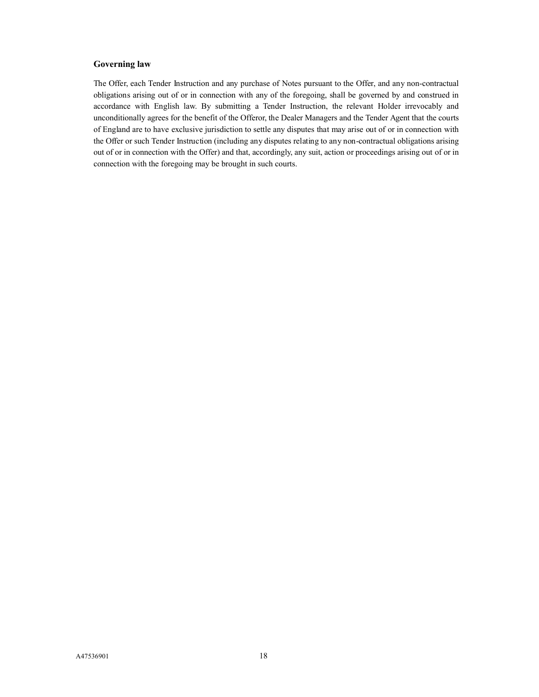# **Governing law**

The Offer, each Tender Instruction and any purchase of Notes pursuant to the Offer, and any non-contractual obligations arising out of or in connection with any of the foregoing, shall be governed by and construed in accordance with English law. By submitting a Tender Instruction, the relevant Holder irrevocably and unconditionally agrees for the benefit of the Offeror, the Dealer Managers and the Tender Agent that the courts of England are to have exclusive jurisdiction to settle any disputes that may arise out of or in connection with the Offer or such Tender Instruction (including any disputes relating to any non-contractual obligations arising out of or in connection with the Offer) and that, accordingly, any suit, action or proceedings arising out of or in connection with the foregoing may be brought in such courts.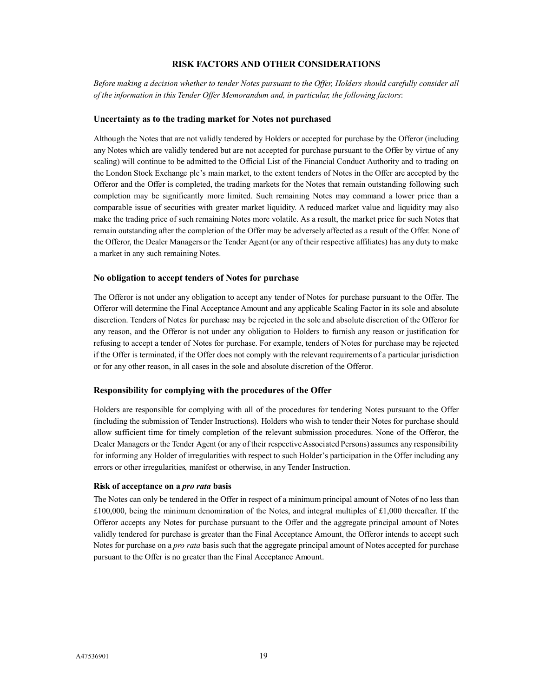# <span id="page-21-0"></span>**RISK FACTORS AND OTHER CONSIDERATIONS**

*Before making a decision whether to tender Notes pursuant to the Offer, Holders should carefully consider all of the information in this Tender Offer Memorandum and, in particular, the following factors*:

#### **Uncertainty as to the trading market for Notes not purchased**

Although the Notes that are not validly tendered by Holders or accepted for purchase by the Offeror (including any Notes which are validly tendered but are not accepted for purchase pursuant to the Offer by virtue of any scaling) will continue to be admitted to the Official List of the Financial Conduct Authority and to trading on the London Stock Exchange plc's main market, to the extent tenders of Notes in the Offer are accepted by the Offeror and the Offer is completed, the trading markets for the Notes that remain outstanding following such completion may be significantly more limited. Such remaining Notes may command a lower price than a comparable issue of securities with greater market liquidity. A reduced market value and liquidity may also make the trading price of such remaining Notes more volatile. As a result, the market price for such Notes that remain outstanding after the completion of the Offer may be adversely affected as a result of the Offer. None of the Offeror, the Dealer Managers or the Tender Agent (or any of their respective affiliates) has any duty to make a market in any such remaining Notes.

#### **No obligation to accept tenders of Notes for purchase**

The Offeror is not under any obligation to accept any tender of Notes for purchase pursuant to the Offer. The Offeror will determine the Final Acceptance Amount and any applicable Scaling Factor in its sole and absolute discretion. Tenders of Notes for purchase may be rejected in the sole and absolute discretion of the Offeror for any reason, and the Offeror is not under any obligation to Holders to furnish any reason or justification for refusing to accept a tender of Notes for purchase. For example, tenders of Notes for purchase may be rejected if the Offer is terminated, if the Offer does not comply with the relevant requirements of a particular jurisdiction or for any other reason, in all cases in the sole and absolute discretion of the Offeror.

#### **Responsibility for complying with the procedures of the Offer**

Holders are responsible for complying with all of the procedures for tendering Notes pursuant to the Offer (including the submission of Tender Instructions). Holders who wish to tender their Notes for purchase should allow sufficient time for timely completion of the relevant submission procedures. None of the Offeror, the Dealer Managers or the Tender Agent (or any of their respective Associated Persons) assumes any responsibility for informing any Holder of irregularities with respect to such Holder's participation in the Offer including any errors or other irregularities, manifest or otherwise, in any Tender Instruction.

#### **Risk of acceptance on a** *pro rata* **basis**

The Notes can only be tendered in the Offer in respect of a minimum principal amount of Notes of no less than  $£100,000$ , being the minimum denomination of the Notes, and integral multiples of £1,000 thereafter. If the Offeror accepts any Notes for purchase pursuant to the Offer and the aggregate principal amount of Notes validly tendered for purchase is greater than the Final Acceptance Amount, the Offeror intends to accept such Notes for purchase on a *pro rata* basis such that the aggregate principal amount of Notes accepted for purchase pursuant to the Offer is no greater than the Final Acceptance Amount.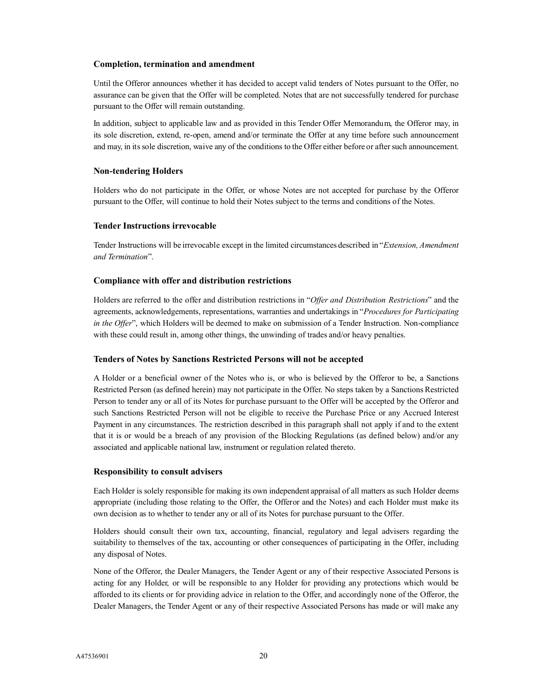#### **Completion, termination and amendment**

Until the Offeror announces whether it has decided to accept valid tenders of Notes pursuant to the Offer, no assurance can be given that the Offer will be completed. Notes that are not successfully tendered for purchase pursuant to the Offer will remain outstanding.

In addition, subject to applicable law and as provided in this Tender Offer Memorandum, the Offeror may, in its sole discretion, extend, re-open, amend and/or terminate the Offer at any time before such announcement and may, in its sole discretion, waive any of the conditions to the Offer either before or after such announcement.

# **Non-tendering Holders**

Holders who do not participate in the Offer, or whose Notes are not accepted for purchase by the Offeror pursuant to the Offer, will continue to hold their Notes subject to the terms and conditions of the Notes.

# **Tender Instructions irrevocable**

Tender Instructions will be irrevocable except in the limited circumstances described in "*Extension, Amendment and Termination*".

# **Compliance with offer and distribution restrictions**

Holders are referred to the offer and distribution restrictions in "*Offer and Distribution Restrictions*" and the agreements, acknowledgements, representations, warranties and undertakings in "*Procedures for Participating in the Offer*", which Holders will be deemed to make on submission of a Tender Instruction. Non-compliance with these could result in, among other things, the unwinding of trades and/or heavy penalties.

#### **Tenders of Notes by Sanctions Restricted Persons will not be accepted**

A Holder or a beneficial owner of the Notes who is, or who is believed by the Offeror to be, a Sanctions Restricted Person (as defined herein) may not participate in the Offer. No steps taken by a Sanctions Restricted Person to tender any or all of its Notes for purchase pursuant to the Offer will be accepted by the Offeror and such Sanctions Restricted Person will not be eligible to receive the Purchase Price or any Accrued Interest Payment in any circumstances. The restriction described in this paragraph shall not apply if and to the extent that it is or would be a breach of any provision of the Blocking Regulations (as defined below) and/or any associated and applicable national law, instrument or regulation related thereto.

#### **Responsibility to consult advisers**

Each Holder is solely responsible for making its own independent appraisal of all matters as such Holder deems appropriate (including those relating to the Offer, the Offeror and the Notes) and each Holder must make its own decision as to whether to tender any or all of its Notes for purchase pursuant to the Offer.

Holders should consult their own tax, accounting, financial, regulatory and legal advisers regarding the suitability to themselves of the tax, accounting or other consequences of participating in the Offer, including any disposal of Notes.

None of the Offeror, the Dealer Managers, the Tender Agent or any of their respective Associated Persons is acting for any Holder, or will be responsible to any Holder for providing any protections which would be afforded to its clients or for providing advice in relation to the Offer, and accordingly none of the Offeror, the Dealer Managers, the Tender Agent or any of their respective Associated Persons has made or will make any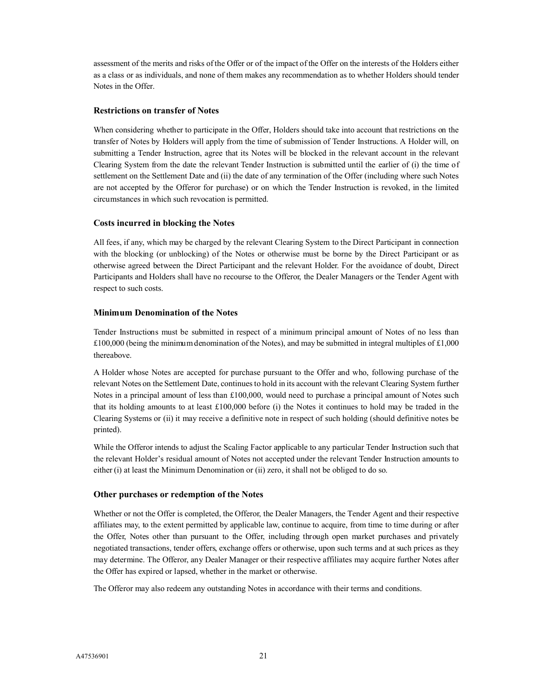assessment of the merits and risks of the Offer or of the impact of the Offer on the interests of the Holders either as a class or as individuals, and none of them makes any recommendation as to whether Holders should tender Notes in the Offer.

# **Restrictions on transfer of Notes**

When considering whether to participate in the Offer, Holders should take into account that restrictions on the transfer of Notes by Holders will apply from the time of submission of Tender Instructions. A Holder will, on submitting a Tender Instruction, agree that its Notes will be blocked in the relevant account in the relevant Clearing System from the date the relevant Tender Instruction is submitted until the earlier of (i) the time of settlement on the Settlement Date and (ii) the date of any termination of the Offer (including where such Notes are not accepted by the Offeror for purchase) or on which the Tender Instruction is revoked, in the limited circumstances in which such revocation is permitted.

# **Costs incurred in blocking the Notes**

All fees, if any, which may be charged by the relevant Clearing System to the Direct Participant in connection with the blocking (or unblocking) of the Notes or otherwise must be borne by the Direct Participant or as otherwise agreed between the Direct Participant and the relevant Holder. For the avoidance of doubt, Direct Participants and Holders shall have no recourse to the Offeror, the Dealer Managers or the Tender Agent with respect to such costs.

# **Minimum Denomination of the Notes**

Tender Instructions must be submitted in respect of a minimum principal amount of Notes of no less than  $£100,000$  (being the minimum denomination of the Notes), and may be submitted in integral multiples of £1,000 thereabove.

A Holder whose Notes are accepted for purchase pursuant to the Offer and who, following purchase of the relevant Notes on the Settlement Date, continues to hold in its account with the relevant Clearing System further Notes in a principal amount of less than £100,000, would need to purchase a principal amount of Notes such that its holding amounts to at least £100,000 before (i) the Notes it continues to hold may be traded in the Clearing Systems or (ii) it may receive a definitive note in respect of such holding (should definitive notes be printed).

While the Offeror intends to adjust the Scaling Factor applicable to any particular Tender Instruction such that the relevant Holder's residual amount of Notes not accepted under the relevant Tender Instruction amounts to either (i) at least the Minimum Denomination or (ii) zero, it shall not be obliged to do so.

#### **Other purchases or redemption of the Notes**

Whether or not the Offer is completed, the Offeror, the Dealer Managers, the Tender Agent and their respective affiliates may, to the extent permitted by applicable law, continue to acquire, from time to time during or after the Offer, Notes other than pursuant to the Offer, including through open market purchases and privately negotiated transactions, tender offers, exchange offers or otherwise, upon such terms and at such prices as they may determine. The Offeror, any Dealer Manager or their respective affiliates may acquire further Notes after the Offer has expired or lapsed, whether in the market or otherwise.

The Offeror may also redeem any outstanding Notes in accordance with their terms and conditions.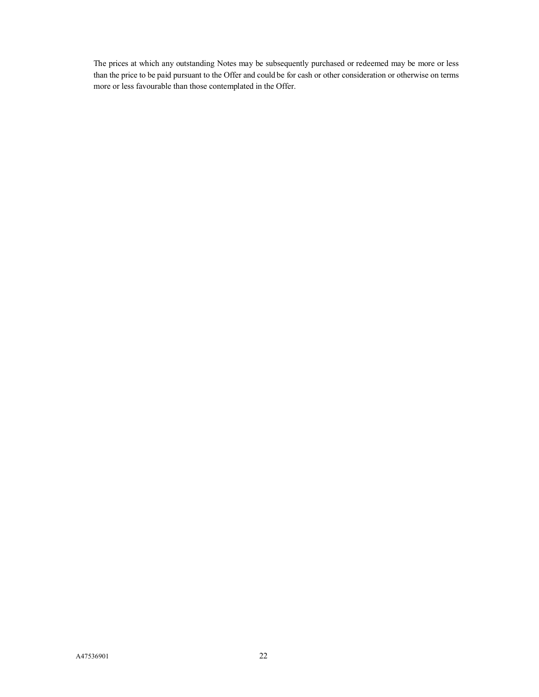The prices at which any outstanding Notes may be subsequently purchased or redeemed may be more or less than the price to be paid pursuant to the Offer and could be for cash or other consideration or otherwise on terms more or less favourable than those contemplated in the Offer.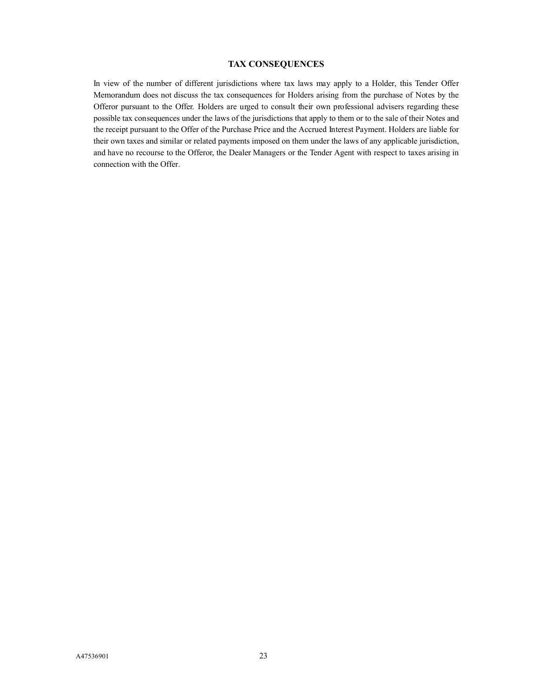# <span id="page-25-0"></span>**TAX CONSEQUENCES**

In view of the number of different jurisdictions where tax laws may apply to a Holder, this Tender Offer Memorandum does not discuss the tax consequences for Holders arising from the purchase of Notes by the Offeror pursuant to the Offer. Holders are urged to consult their own professional advisers regarding these possible tax consequences under the laws of the jurisdictions that apply to them or to the sale of their Notes and the receipt pursuant to the Offer of the Purchase Price and the Accrued Interest Payment. Holders are liable for their own taxes and similar or related payments imposed on them under the laws of any applicable jurisdiction, and have no recourse to the Offeror, the Dealer Managers or the Tender Agent with respect to taxes arising in connection with the Offer.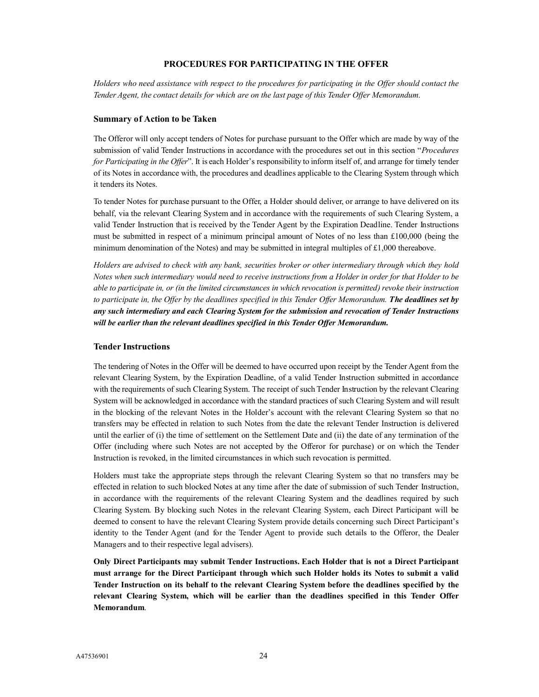# <span id="page-26-0"></span>**PROCEDURES FOR PARTICIPATING IN THE OFFER**

*Holders who need assistance with respect to the procedures for participating in the Offer should contact the Tender Agent, the contact details for which are on the last page of this Tender Offer Memorandum*.

#### **Summary of Action to be Taken**

The Offeror will only accept tenders of Notes for purchase pursuant to the Offer which are made by way of the submission of valid Tender Instructions in accordance with the procedures set out in this section "*Procedures for Participating in the Offer*". It is each Holder's responsibility to inform itself of, and arrange for timely tender of its Notes in accordance with, the procedures and deadlines applicable to the Clearing System through which it tenders its Notes.

To tender Notes for purchase pursuant to the Offer, a Holder should deliver, or arrange to have delivered on its behalf, via the relevant Clearing System and in accordance with the requirements of such Clearing System, a valid Tender Instruction that is received by the Tender Agent by the Expiration Deadline. Tender Instructions must be submitted in respect of a minimum principal amount of Notes of no less than £100,000 (being the minimum denomination of the Notes) and may be submitted in integral multiples of £1,000 thereabove.

*Holders are advised to check with any bank, securities broker or other intermediary through which they hold Notes when such intermediary would need to receive instructions from a Holder in order for that Holder to be able to participate in, or (in the limited circumstances in which revocation is permitted) revoke their instruction to participate in, the Offer by the deadlines specified in this Tender Offer Memorandum. The deadlines set by any such intermediary and each Clearing System for the submission and revocation of Tender Instructions will be earlier than the relevant deadlines specified in this Tender Offer Memorandum.*

#### **Tender Instructions**

The tendering of Notes in the Offer will be deemed to have occurred upon receipt by the Tender Agent from the relevant Clearing System, by the Expiration Deadline, of a valid Tender Instruction submitted in accordance with the requirements of such Clearing System. The receipt of such Tender Instruction by the relevant Clearing System will be acknowledged in accordance with the standard practices of such Clearing System and will result in the blocking of the relevant Notes in the Holder's account with the relevant Clearing System so that no transfers may be effected in relation to such Notes from the date the relevant Tender Instruction is delivered until the earlier of (i) the time of settlement on the Settlement Date and (ii) the date of any termination of the Offer (including where such Notes are not accepted by the Offeror for purchase) or on which the Tender Instruction is revoked, in the limited circumstances in which such revocation is permitted.

Holders must take the appropriate steps through the relevant Clearing System so that no transfers may be effected in relation to such blocked Notes at any time after the date of submission of such Tender Instruction, in accordance with the requirements of the relevant Clearing System and the deadlines required by such Clearing System. By blocking such Notes in the relevant Clearing System, each Direct Participant will be deemed to consent to have the relevant Clearing System provide details concerning such Direct Participant's identity to the Tender Agent (and for the Tender Agent to provide such details to the Offeror, the Dealer Managers and to their respective legal advisers).

**Only Direct Participants may submit Tender Instructions. Each Holder that is not a Direct Participant must arrange for the Direct Participant through which such Holder holds its Notes to submit a valid Tender Instruction on its behalf to the relevant Clearing System before the deadlines specified by the relevant Clearing System, which will be earlier than the deadlines specified in this Tender Offer Memorandum**.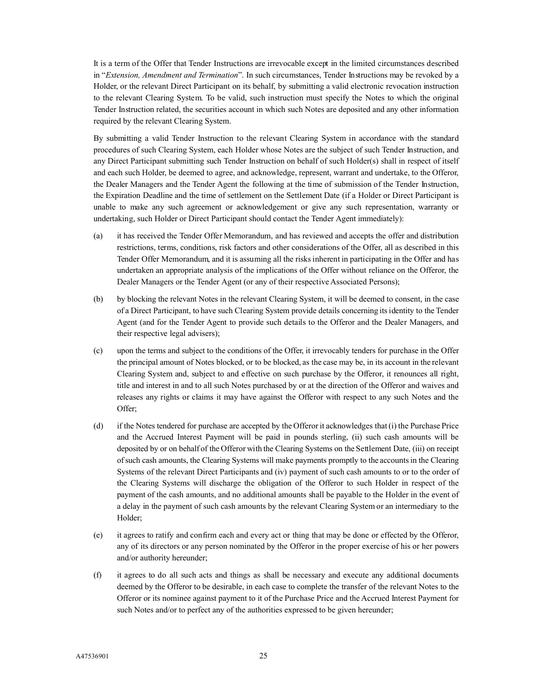It is a term of the Offer that Tender Instructions are irrevocable except in the limited circumstances described in "*Extension, Amendment and Termination*". In such circumstances, Tender Instructions may be revoked by a Holder, or the relevant Direct Participant on its behalf, by submitting a valid electronic revocation instruction to the relevant Clearing System. To be valid, such instruction must specify the Notes to which the original Tender Instruction related, the securities account in which such Notes are deposited and any other information required by the relevant Clearing System.

By submitting a valid Tender Instruction to the relevant Clearing System in accordance with the standard procedures of such Clearing System, each Holder whose Notes are the subject of such Tender Instruction, and any Direct Participant submitting such Tender Instruction on behalf of such Holder(s) shall in respect of itself and each such Holder, be deemed to agree, and acknowledge, represent, warrant and undertake, to the Offeror, the Dealer Managers and the Tender Agent the following at the time of submission of the Tender Instruction, the Expiration Deadline and the time of settlement on the Settlement Date (if a Holder or Direct Participant is unable to make any such agreement or acknowledgement or give any such representation, warranty or undertaking, such Holder or Direct Participant should contact the Tender Agent immediately):

- (a) it has received the Tender Offer Memorandum, and has reviewed and accepts the offer and distribution restrictions, terms, conditions, risk factors and other considerations of the Offer, all as described in this Tender Offer Memorandum, and it is assuming all the risks inherent in participating in the Offer and has undertaken an appropriate analysis of the implications of the Offer without reliance on the Offeror, the Dealer Managers or the Tender Agent (or any of their respective Associated Persons);
- (b) by blocking the relevant Notes in the relevant Clearing System, it will be deemed to consent, in the case of a Direct Participant, to have such Clearing System provide details concerning its identity to the Tender Agent (and for the Tender Agent to provide such details to the Offeror and the Dealer Managers, and their respective legal advisers);
- (c) upon the terms and subject to the conditions of the Offer, it irrevocably tenders for purchase in the Offer the principal amount of Notes blocked, or to be blocked, as the case may be, in its account in the relevant Clearing System and, subject to and effective on such purchase by the Offeror, it renounces all right, title and interest in and to all such Notes purchased by or at the direction of the Offeror and waives and releases any rights or claims it may have against the Offeror with respect to any such Notes and the Offer;
- (d) if the Notes tendered for purchase are accepted by the Offeror it acknowledges that (i) the Purchase Price and the Accrued Interest Payment will be paid in pounds sterling, (ii) such cash amounts will be deposited by or on behalf of the Offeror with the Clearing Systems on the Settlement Date, (iii) on receipt of such cash amounts, the Clearing Systems will make payments promptly to the accountsin the Clearing Systems of the relevant Direct Participants and (iv) payment of such cash amounts to or to the order of the Clearing Systems will discharge the obligation of the Offeror to such Holder in respect of the payment of the cash amounts, and no additional amounts shall be payable to the Holder in the event of a delay in the payment of such cash amounts by the relevant Clearing System or an intermediary to the Holder;
- (e) it agrees to ratify and confirm each and every act or thing that may be done or effected by the Offeror, any of its directors or any person nominated by the Offeror in the proper exercise of his or her powers and/or authority hereunder;
- (f) it agrees to do all such acts and things as shall be necessary and execute any additional documents deemed by the Offeror to be desirable, in each case to complete the transfer of the relevant Notes to the Offeror or its nominee against payment to it of the Purchase Price and the Accrued Interest Payment for such Notes and/or to perfect any of the authorities expressed to be given hereunder;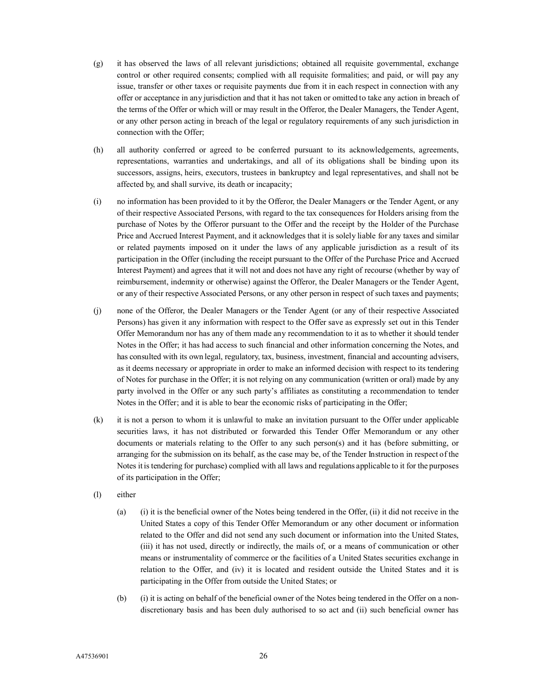- (g) it has observed the laws of all relevant jurisdictions; obtained all requisite governmental, exchange control or other required consents; complied with all requisite formalities; and paid, or will pay any issue, transfer or other taxes or requisite payments due from it in each respect in connection with any offer or acceptance in any jurisdiction and that it has not taken or omitted to take any action in breach of the terms of the Offer or which will or may result in the Offeror, the Dealer Managers, the Tender Agent, or any other person acting in breach of the legal or regulatory requirements of any such jurisdiction in connection with the Offer;
- (h) all authority conferred or agreed to be conferred pursuant to its acknowledgements, agreements, representations, warranties and undertakings, and all of its obligations shall be binding upon its successors, assigns, heirs, executors, trustees in bankruptcy and legal representatives, and shall not be affected by, and shall survive, its death or incapacity;
- (i) no information has been provided to it by the Offeror, the Dealer Managers or the Tender Agent, or any of their respective Associated Persons, with regard to the tax consequences for Holders arising from the purchase of Notes by the Offeror pursuant to the Offer and the receipt by the Holder of the Purchase Price and Accrued Interest Payment, and it acknowledges that it is solely liable for any taxes and similar or related payments imposed on it under the laws of any applicable jurisdiction as a result of its participation in the Offer (including the receipt pursuant to the Offer of the Purchase Price and Accrued Interest Payment) and agrees that it will not and does not have any right of recourse (whether by way of reimbursement, indemnity or otherwise) against the Offeror, the Dealer Managers or the Tender Agent, or any of their respective Associated Persons, or any other person in respect of such taxes and payments;
- (j) none of the Offeror, the Dealer Managers or the Tender Agent (or any of their respective Associated Persons) has given it any information with respect to the Offer save as expressly set out in this Tender Offer Memorandum nor has any of them made any recommendation to it as to whether it should tender Notes in the Offer; it has had access to such financial and other information concerning the Notes, and has consulted with its own legal, regulatory, tax, business, investment, financial and accounting advisers, as it deems necessary or appropriate in order to make an informed decision with respect to its tendering of Notes for purchase in the Offer; it is not relying on any communication (written or oral) made by any party involved in the Offer or any such party's affiliates as constituting a recommendation to tender Notes in the Offer; and it is able to bear the economic risks of participating in the Offer;
- (k) it is not a person to whom it is unlawful to make an invitation pursuant to the Offer under applicable securities laws, it has not distributed or forwarded this Tender Offer Memorandum or any other documents or materials relating to the Offer to any such person(s) and it has (before submitting, or arranging for the submission on its behalf, as the case may be, of the Tender Instruction in respect of the Notes it is tendering for purchase) complied with all laws and regulations applicable to it for the purposes of its participation in the Offer;
- (l) either
	- (a) (i) it is the beneficial owner of the Notes being tendered in the Offer, (ii) it did not receive in the United States a copy of this Tender Offer Memorandum or any other document or information related to the Offer and did not send any such document or information into the United States, (iii) it has not used, directly or indirectly, the mails of, or a means of communication or other means or instrumentality of commerce or the facilities of a United States securities exchange in relation to the Offer, and (iv) it is located and resident outside the United States and it is participating in the Offer from outside the United States; or
	- (b) (i) it is acting on behalf of the beneficial owner of the Notes being tendered in the Offer on a nondiscretionary basis and has been duly authorised to so act and (ii) such beneficial owner has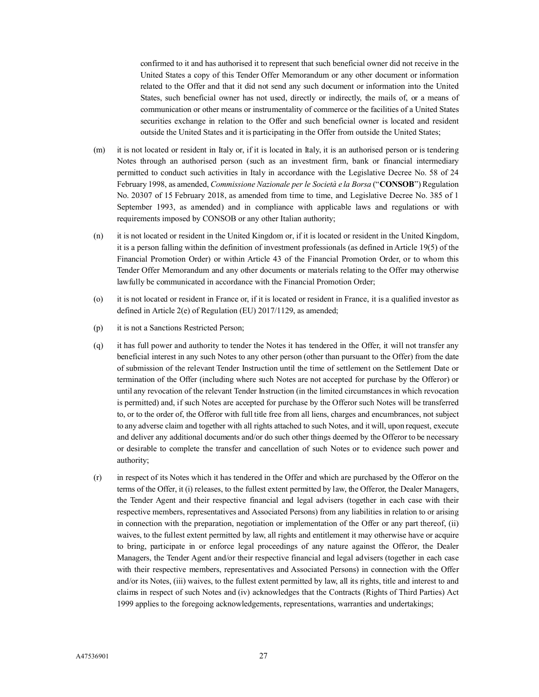confirmed to it and has authorised it to represent that such beneficial owner did not receive in the United States a copy of this Tender Offer Memorandum or any other document or information related to the Offer and that it did not send any such document or information into the United States, such beneficial owner has not used, directly or indirectly, the mails of, or a means of communication or other means or instrumentality of commerce or the facilities of a United States securities exchange in relation to the Offer and such beneficial owner is located and resident outside the United States and it is participating in the Offer from outside the United States;

- (m) it is not located or resident in Italy or, if it is located in Italy, it is an authorised person or is tendering Notes through an authorised person (such as an investment firm, bank or financial intermediary permitted to conduct such activities in Italy in accordance with the Legislative Decree No. 58 of 24 February 1998, as amended, *Commissione Nazionale per le Società e la Borsa* ("**CONSOB**") Regulation No. 20307 of 15 February 2018, as amended from time to time, and Legislative Decree No. 385 of 1 September 1993, as amended) and in compliance with applicable laws and regulations or with requirements imposed by CONSOB or any other Italian authority;
- (n) it is not located or resident in the United Kingdom or, if it is located or resident in the United Kingdom, it is a person falling within the definition of investment professionals (as defined in Article 19(5) of the Financial Promotion Order) or within Article 43 of the Financial Promotion Order, or to whom this Tender Offer Memorandum and any other documents or materials relating to the Offer may otherwise lawfully be communicated in accordance with the Financial Promotion Order;
- (o) it is not located or resident in France or, if it is located or resident in France, it is a qualified investor as defined in Article 2(e) of Regulation (EU) 2017/1129, as amended;
- (p) it is not a Sanctions Restricted Person;
- (q) it has full power and authority to tender the Notes it has tendered in the Offer, it will not transfer any beneficial interest in any such Notes to any other person (other than pursuant to the Offer) from the date of submission of the relevant Tender Instruction until the time of settlement on the Settlement Date or termination of the Offer (including where such Notes are not accepted for purchase by the Offeror) or until any revocation of the relevant Tender Instruction (in the limited circumstances in which revocation is permitted) and, if such Notes are accepted for purchase by the Offeror such Notes will be transferred to, or to the order of, the Offeror with full title free from all liens, charges and encumbrances, not subject to any adverse claim and together with all rights attached to such Notes, and it will, upon request, execute and deliver any additional documents and/or do such other things deemed by the Offeror to be necessary or desirable to complete the transfer and cancellation of such Notes or to evidence such power and authority;
- (r) in respect of its Notes which it has tendered in the Offer and which are purchased by the Offeror on the terms of the Offer, it (i) releases, to the fullest extent permitted by law, the Offeror, the Dealer Managers, the Tender Agent and their respective financial and legal advisers (together in each case with their respective members, representatives and Associated Persons) from any liabilities in relation to or arising in connection with the preparation, negotiation or implementation of the Offer or any part thereof, (ii) waives, to the fullest extent permitted by law, all rights and entitlement it may otherwise have or acquire to bring, participate in or enforce legal proceedings of any nature against the Offeror, the Dealer Managers, the Tender Agent and/or their respective financial and legal advisers (together in each case with their respective members, representatives and Associated Persons) in connection with the Offer and/or its Notes, (iii) waives, to the fullest extent permitted by law, all its rights, title and interest to and claims in respect of such Notes and (iv) acknowledges that the Contracts (Rights of Third Parties) Act 1999 applies to the foregoing acknowledgements, representations, warranties and undertakings;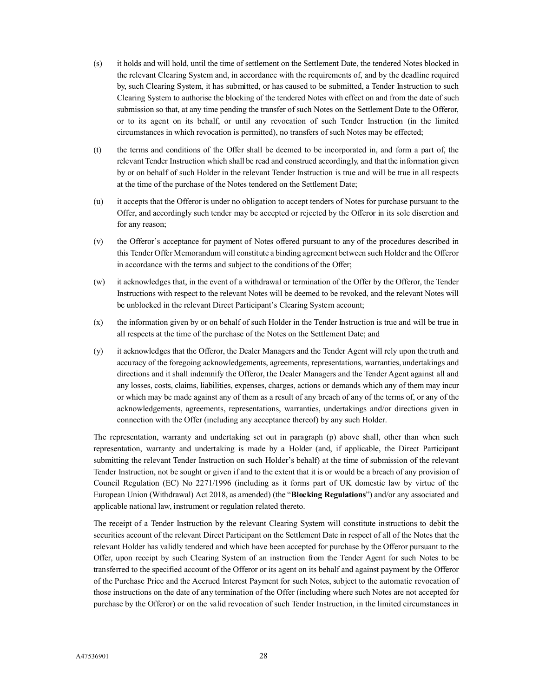- (s) it holds and will hold, until the time of settlement on the Settlement Date, the tendered Notes blocked in the relevant Clearing System and, in accordance with the requirements of, and by the deadline required by, such Clearing System, it has submitted, or has caused to be submitted, a Tender Instruction to such Clearing System to authorise the blocking of the tendered Notes with effect on and from the date of such submission so that, at any time pending the transfer of such Notes on the Settlement Date to the Offeror, or to its agent on its behalf, or until any revocation of such Tender Instruction (in the limited circumstances in which revocation is permitted), no transfers of such Notes may be effected;
- (t) the terms and conditions of the Offer shall be deemed to be incorporated in, and form a part of, the relevant Tender Instruction which shall be read and construed accordingly, and that the information given by or on behalf of such Holder in the relevant Tender Instruction is true and will be true in all respects at the time of the purchase of the Notes tendered on the Settlement Date;
- (u) it accepts that the Offeror is under no obligation to accept tenders of Notes for purchase pursuant to the Offer, and accordingly such tender may be accepted or rejected by the Offeror in its sole discretion and for any reason;
- (v) the Offeror's acceptance for payment of Notes offered pursuant to any of the procedures described in this Tender Offer Memorandum will constitute a binding agreement between such Holder and the Offeror in accordance with the terms and subject to the conditions of the Offer;
- (w) it acknowledges that, in the event of a withdrawal or termination of the Offer by the Offeror, the Tender Instructions with respect to the relevant Notes will be deemed to be revoked, and the relevant Notes will be unblocked in the relevant Direct Participant's Clearing System account;
- (x) the information given by or on behalf of such Holder in the Tender Instruction is true and will be true in all respects at the time of the purchase of the Notes on the Settlement Date; and
- (y) it acknowledges that the Offeror, the Dealer Managers and the Tender Agent will rely upon the truth and accuracy of the foregoing acknowledgements, agreements, representations, warranties, undertakings and directions and it shall indemnify the Offeror, the Dealer Managers and the Tender Agent against all and any losses, costs, claims, liabilities, expenses, charges, actions or demands which any of them may incur or which may be made against any of them as a result of any breach of any of the terms of, or any of the acknowledgements, agreements, representations, warranties, undertakings and/or directions given in connection with the Offer (including any acceptance thereof) by any such Holder.

The representation, warranty and undertaking set out in paragraph (p) above shall, other than when such representation, warranty and undertaking is made by a Holder (and, if applicable, the Direct Participant submitting the relevant Tender Instruction on such Holder's behalf) at the time of submission of the relevant Tender Instruction, not be sought or given if and to the extent that it is or would be a breach of any provision of Council Regulation (EC) No 2271/1996 (including as it forms part of UK domestic law by virtue of the European Union (Withdrawal) Act 2018, as amended) (the "**Blocking Regulations**") and/or any associated and applicable national law, instrument or regulation related thereto.

The receipt of a Tender Instruction by the relevant Clearing System will constitute instructions to debit the securities account of the relevant Direct Participant on the Settlement Date in respect of all of the Notes that the relevant Holder has validly tendered and which have been accepted for purchase by the Offeror pursuant to the Offer, upon receipt by such Clearing System of an instruction from the Tender Agent for such Notes to be transferred to the specified account of the Offeror or its agent on its behalf and against payment by the Offeror of the Purchase Price and the Accrued Interest Payment for such Notes, subject to the automatic revocation of those instructions on the date of any termination of the Offer (including where such Notes are not accepted for purchase by the Offeror) or on the valid revocation of such Tender Instruction, in the limited circumstances in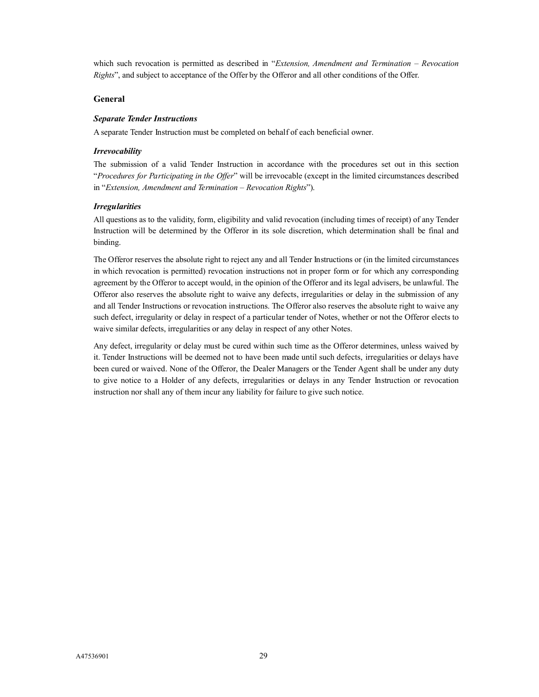which such revocation is permitted as described in "*Extension, Amendment and Termination – Revocation Rights*", and subject to acceptance of the Offer by the Offeror and all other conditions of the Offer.

# **General**

#### *Separate Tender Instructions*

A separate Tender Instruction must be completed on behalf of each beneficial owner.

# *Irrevocability*

The submission of a valid Tender Instruction in accordance with the procedures set out in this section "*Procedures for Participating in the Offer*" will be irrevocable (except in the limited circumstances described in "*Extension, Amendment and Termination – Revocation Rights*").

# *Irregularities*

All questions as to the validity, form, eligibility and valid revocation (including times of receipt) of any Tender Instruction will be determined by the Offeror in its sole discretion, which determination shall be final and binding.

The Offeror reserves the absolute right to reject any and all Tender Instructions or (in the limited circumstances in which revocation is permitted) revocation instructions not in proper form or for which any corresponding agreement by the Offeror to accept would, in the opinion of the Offeror and its legal advisers, be unlawful. The Offeror also reserves the absolute right to waive any defects, irregularities or delay in the submission of any and all Tender Instructions or revocation instructions. The Offeror also reserves the absolute right to waive any such defect, irregularity or delay in respect of a particular tender of Notes, whether or not the Offeror elects to waive similar defects, irregularities or any delay in respect of any other Notes.

Any defect, irregularity or delay must be cured within such time as the Offeror determines, unless waived by it. Tender Instructions will be deemed not to have been made until such defects, irregularities or delays have been cured or waived. None of the Offeror, the Dealer Managers or the Tender Agent shall be under any duty to give notice to a Holder of any defects, irregularities or delays in any Tender Instruction or revocation instruction nor shall any of them incur any liability for failure to give such notice.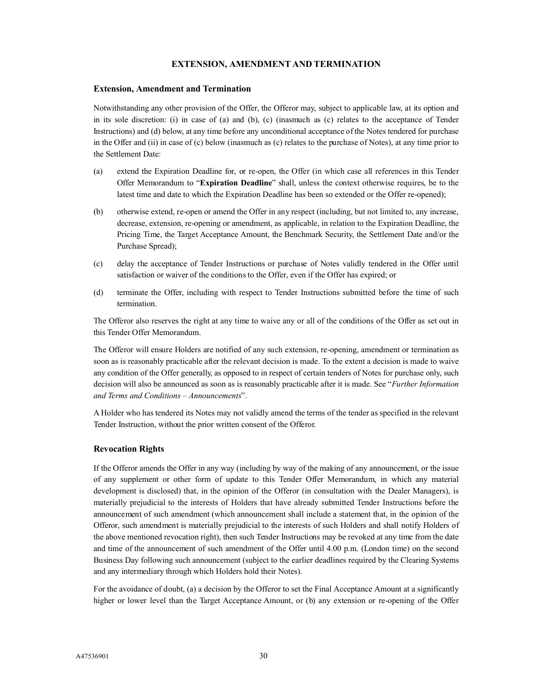# <span id="page-32-0"></span>**EXTENSION, AMENDMENT AND TERMINATION**

#### **Extension, Amendment and Termination**

Notwithstanding any other provision of the Offer, the Offeror may, subject to applicable law, at its option and in its sole discretion: (i) in case of (a) and (b), (c) (inasmuch as (c) relates to the acceptance of Tender Instructions) and (d) below, at any time before any unconditional acceptance of the Notes tendered for purchase in the Offer and (ii) in case of (c) below (inasmuch as (c) relates to the purchase of Notes), at any time prior to the Settlement Date:

- (a) extend the Expiration Deadline for, or re-open, the Offer (in which case all references in this Tender Offer Memorandum to "**Expiration Deadline**" shall, unless the context otherwise requires, be to the latest time and date to which the Expiration Deadline has been so extended or the Offer re-opened);
- (b) otherwise extend, re-open or amend the Offer in any respect (including, but not limited to, any increase, decrease, extension, re-opening or amendment, as applicable, in relation to the Expiration Deadline, the Pricing Time, the Target Acceptance Amount, the Benchmark Security, the Settlement Date and/or the Purchase Spread);
- (c) delay the acceptance of Tender Instructions or purchase of Notes validly tendered in the Offer until satisfaction or waiver of the conditions to the Offer, even if the Offer has expired; or
- (d) terminate the Offer, including with respect to Tender Instructions submitted before the time of such termination.

The Offeror also reserves the right at any time to waive any or all of the conditions of the Offer as set out in this Tender Offer Memorandum.

The Offeror will ensure Holders are notified of any such extension, re-opening, amendment or termination as soon as is reasonably practicable after the relevant decision is made. To the extent a decision is made to waive any condition of the Offer generally, as opposed to in respect of certain tenders of Notes for purchase only, such decision will also be announced as soon as is reasonably practicable after it is made. See "*Further Information and Terms and Conditions – Announcements*".

A Holder who has tendered its Notes may not validly amend the terms of the tender as specified in the relevant Tender Instruction, without the prior written consent of the Offeror.

#### **Revocation Rights**

If the Offeror amends the Offer in any way (including by way of the making of any announcement, or the issue of any supplement or other form of update to this Tender Offer Memorandum, in which any material development is disclosed) that, in the opinion of the Offeror (in consultation with the Dealer Managers), is materially prejudicial to the interests of Holders that have already submitted Tender Instructions before the announcement of such amendment (which announcement shall include a statement that, in the opinion of the Offeror, such amendment is materially prejudicial to the interests of such Holders and shall notify Holders of the above mentioned revocation right), then such Tender Instructions may be revoked at any time from the date and time of the announcement of such amendment of the Offer until 4.00 p.m. (London time) on the second Business Day following such announcement (subject to the earlier deadlines required by the Clearing Systems and any intermediary through which Holders hold their Notes).

For the avoidance of doubt, (a) a decision by the Offeror to set the Final Acceptance Amount at a significantly higher or lower level than the Target Acceptance Amount, or (b) any extension or re-opening of the Offer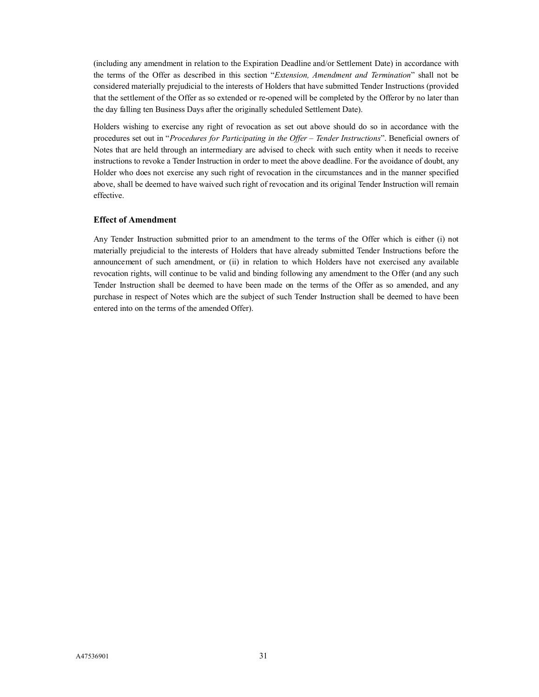(including any amendment in relation to the Expiration Deadline and/or Settlement Date) in accordance with the terms of the Offer as described in this section "*Extension, Amendment and Termination*" shall not be considered materially prejudicial to the interests of Holders that have submitted Tender Instructions (provided that the settlement of the Offer as so extended or re-opened will be completed by the Offeror by no later than the day falling ten Business Days after the originally scheduled Settlement Date).

Holders wishing to exercise any right of revocation as set out above should do so in accordance with the procedures set out in "*Procedures for Participating in the Offer – Tender Instructions*". Beneficial owners of Notes that are held through an intermediary are advised to check with such entity when it needs to receive instructions to revoke a Tender Instruction in order to meet the above deadline. For the avoidance of doubt, any Holder who does not exercise any such right of revocation in the circumstances and in the manner specified above, shall be deemed to have waived such right of revocation and its original Tender Instruction will remain effective.

# **Effect of Amendment**

Any Tender Instruction submitted prior to an amendment to the terms of the Offer which is either (i) not materially prejudicial to the interests of Holders that have already submitted Tender Instructions before the announcement of such amendment, or (ii) in relation to which Holders have not exercised any available revocation rights, will continue to be valid and binding following any amendment to the Offer (and any such Tender Instruction shall be deemed to have been made on the terms of the Offer as so amended, and any purchase in respect of Notes which are the subject of such Tender Instruction shall be deemed to have been entered into on the terms of the amended Offer).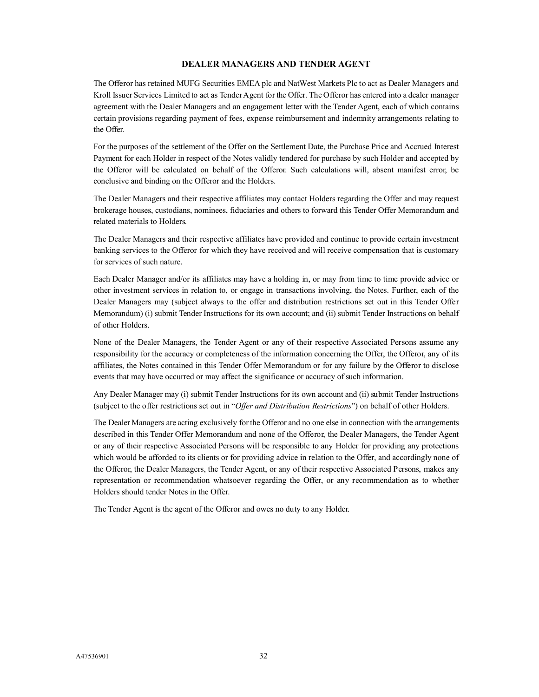#### <span id="page-34-0"></span>**DEALER MANAGERS AND TENDER AGENT**

The Offeror has retained MUFG Securities EMEA plc and NatWest Markets Plc to act as Dealer Managers and Kroll Issuer Services Limited to act as Tender Agent for the Offer. The Offeror has entered into a dealer manager agreement with the Dealer Managers and an engagement letter with the Tender Agent, each of which contains certain provisions regarding payment of fees, expense reimbursement and indemnity arrangements relating to the Offer.

For the purposes of the settlement of the Offer on the Settlement Date, the Purchase Price and Accrued Interest Payment for each Holder in respect of the Notes validly tendered for purchase by such Holder and accepted by the Offeror will be calculated on behalf of the Offeror. Such calculations will, absent manifest error, be conclusive and binding on the Offeror and the Holders.

The Dealer Managers and their respective affiliates may contact Holders regarding the Offer and may request brokerage houses, custodians, nominees, fiduciaries and others to forward this Tender Offer Memorandum and related materials to Holders.

The Dealer Managers and their respective affiliates have provided and continue to provide certain investment banking services to the Offeror for which they have received and will receive compensation that is customary for services of such nature.

Each Dealer Manager and/or its affiliates may have a holding in, or may from time to time provide advice or other investment services in relation to, or engage in transactions involving, the Notes. Further, each of the Dealer Managers may (subject always to the offer and distribution restrictions set out in this Tender Offer Memorandum) (i) submit Tender Instructions for its own account; and (ii) submit Tender Instructions on behalf of other Holders.

None of the Dealer Managers, the Tender Agent or any of their respective Associated Persons assume any responsibility for the accuracy or completeness of the information concerning the Offer, the Offeror, any of its affiliates, the Notes contained in this Tender Offer Memorandum or for any failure by the Offeror to disclose events that may have occurred or may affect the significance or accuracy of such information.

Any Dealer Manager may (i) submit Tender Instructions for its own account and (ii) submit Tender Instructions (subject to the offer restrictions set out in "*Offer and Distribution Restrictions*") on behalf of other Holders.

The Dealer Managers are acting exclusively for the Offeror and no one else in connection with the arrangements described in this Tender Offer Memorandum and none of the Offeror, the Dealer Managers, the Tender Agent or any of their respective Associated Persons will be responsible to any Holder for providing any protections which would be afforded to its clients or for providing advice in relation to the Offer, and accordingly none of the Offeror, the Dealer Managers, the Tender Agent, or any of their respective Associated Persons, makes any representation or recommendation whatsoever regarding the Offer, or any recommendation as to whether Holders should tender Notes in the Offer.

The Tender Agent is the agent of the Offeror and owes no duty to any Holder.